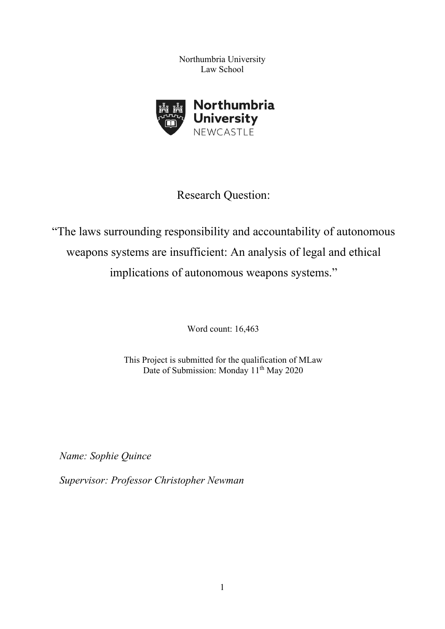Northumbria University Law School



# Research Question:

"The laws surrounding responsibility and accountability of autonomous weapons systems are insufficient: An analysis of legal and ethical implications of autonomous weapons systems."

Word count: 16,463

This Project is submitted for the qualification of MLaw Date of Submission: Monday 11<sup>th</sup> May 2020

*Name: Sophie Quince*

*Supervisor: Professor Christopher Newman*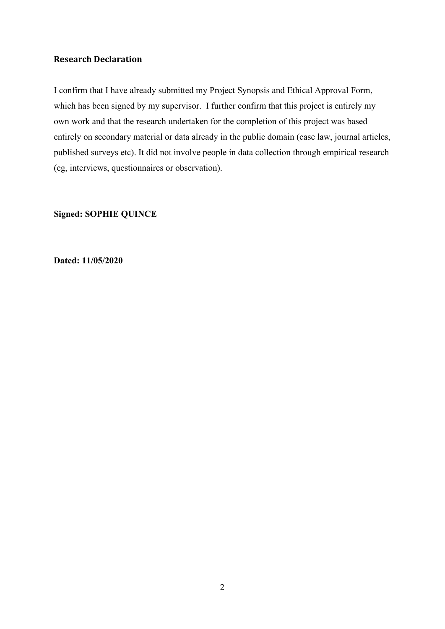# **Research Declaration**

I confirm that I have already submitted my Project Synopsis and Ethical Approval Form, which has been signed by my supervisor. I further confirm that this project is entirely my own work and that the research undertaken for the completion of this project was based entirely on secondary material or data already in the public domain (case law, journal articles, published surveys etc). It did not involve people in data collection through empirical research (eg, interviews, questionnaires or observation).

### **Signed: SOPHIE QUINCE**

**Dated: 11/05/2020**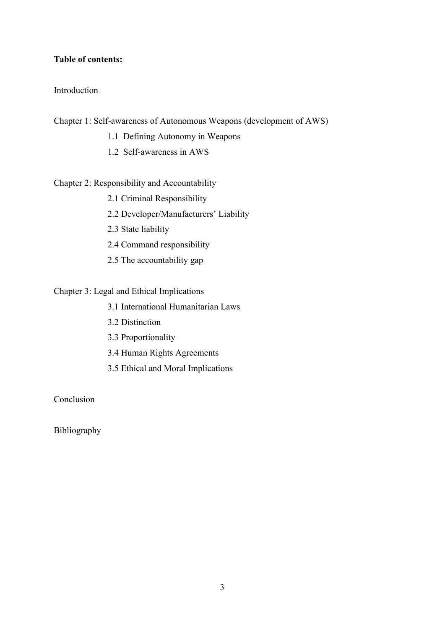### **Table of contents:**

### Introduction

Chapter 1: Self-awareness of Autonomous Weapons (development of AWS)

- 1.1 Defining Autonomy in Weapons
- 1.2 Self-awareness in AWS

### Chapter 2: Responsibility and Accountability

- 2.1 Criminal Responsibility
- 2.2 Developer/Manufacturers' Liability
- 2.3 State liability
- 2.4 Command responsibility
- 2.5 The accountability gap

# Chapter 3: Legal and Ethical Implications

- 3.1 International Humanitarian Laws
- 3.2 Distinction
- 3.3 Proportionality
- 3.4 Human Rights Agreements
- 3.5 Ethical and Moral Implications

# Conclusion

Bibliography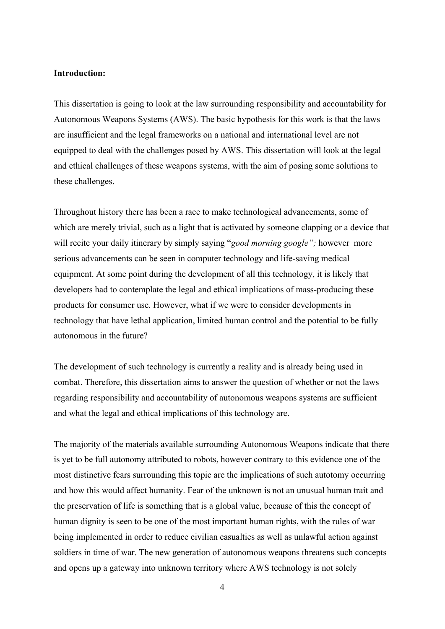### **Introduction:**

This dissertation is going to look at the law surrounding responsibility and accountability for Autonomous Weapons Systems (AWS). The basic hypothesis for this work is that the laws are insufficient and the legal frameworks on a national and international level are not equipped to deal with the challenges posed by AWS. This dissertation will look at the legal and ethical challenges of these weapons systems, with the aim of posing some solutions to these challenges.

Throughout history there has been a race to make technological advancements, some of which are merely trivial, such as a light that is activated by someone clapping or a device that will recite your daily itinerary by simply saying "*good morning google";* however more serious advancements can be seen in computer technology and life-saving medical equipment. At some point during the development of all this technology, it is likely that developers had to contemplate the legal and ethical implications of mass-producing these products for consumer use. However, what if we were to consider developments in technology that have lethal application, limited human control and the potential to be fully autonomous in the future?

The development of such technology is currently a reality and is already being used in combat. Therefore, this dissertation aims to answer the question of whether or not the laws regarding responsibility and accountability of autonomous weapons systems are sufficient and what the legal and ethical implications of this technology are.

The majority of the materials available surrounding Autonomous Weapons indicate that there is yet to be full autonomy attributed to robots, however contrary to this evidence one of the most distinctive fears surrounding this topic are the implications of such autotomy occurring and how this would affect humanity. Fear of the unknown is not an unusual human trait and the preservation of life is something that is a global value, because of this the concept of human dignity is seen to be one of the most important human rights, with the rules of war being implemented in order to reduce civilian casualties as well as unlawful action against soldiers in time of war. The new generation of autonomous weapons threatens such concepts and opens up a gateway into unknown territory where AWS technology is not solely

4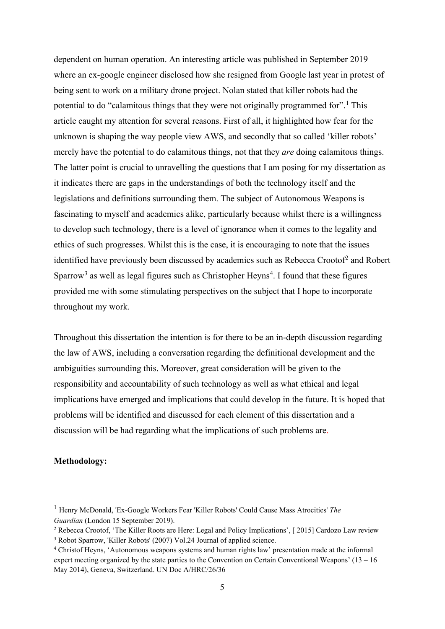dependent on human operation. An interesting article was published in September 2019 where an ex-google engineer disclosed how she resigned from Google last year in protest of being sent to work on a military drone project. Nolan stated that killer robots had the potential to do "calamitous things that they were not originally programmed for".<sup>[1](#page-4-0)</sup> This article caught my attention for several reasons. First of all, it highlighted how fear for the unknown is shaping the way people view AWS, and secondly that so called 'killer robots' merely have the potential to do calamitous things, not that they *are* doing calamitous things. The latter point is crucial to unravelling the questions that I am posing for my dissertation as it indicates there are gaps in the understandings of both the technology itself and the legislations and definitions surrounding them. The subject of Autonomous Weapons is fascinating to myself and academics alike, particularly because whilst there is a willingness to develop such technology, there is a level of ignorance when it comes to the legality and ethics of such progresses. Whilst this is the case, it is encouraging to note that the issues identified have previously been discussed by academics such as Rebecca Crootof<sup>[2](#page-4-1)</sup> and Robert Sparrow<sup>[3](#page-4-2)</sup> as well as legal figures such as Christopher Heyns<sup>[4](#page-4-3)</sup>. I found that these figures provided me with some stimulating perspectives on the subject that I hope to incorporate throughout my work.

Throughout this dissertation the intention is for there to be an in-depth discussion regarding the law of AWS, including a conversation regarding the definitional development and the ambiguities surrounding this. Moreover, great consideration will be given to the responsibility and accountability of such technology as well as what ethical and legal implications have emerged and implications that could develop in the future. It is hoped that problems will be identified and discussed for each element of this dissertation and a discussion will be had regarding what the implications of such problems are.

### **Methodology:**

<span id="page-4-0"></span><sup>1</sup> Henry McDonald, 'Ex-Google Workers Fear 'Killer Robots' Could Cause Mass Atrocities' *The Guardian* (London 15 September 2019).

<span id="page-4-1"></span><sup>2</sup> Rebecca Crootof, 'The Killer Roots are Here: Legal and Policy Implications', [ 2015] Cardozo Law review

<span id="page-4-2"></span><sup>&</sup>lt;sup>3</sup> Robot Sparrow, 'Killer Robots' (2007) Vol.24 Journal of applied science.

<span id="page-4-3"></span><sup>4</sup> Christof Heyns, 'Autonomous weapons systems and human rights law' presentation made at the informal expert meeting organized by the state parties to the Convention on Certain Conventional Weapons' (13 – 16 May 2014), Geneva, Switzerland. UN Doc A/HRC/26/36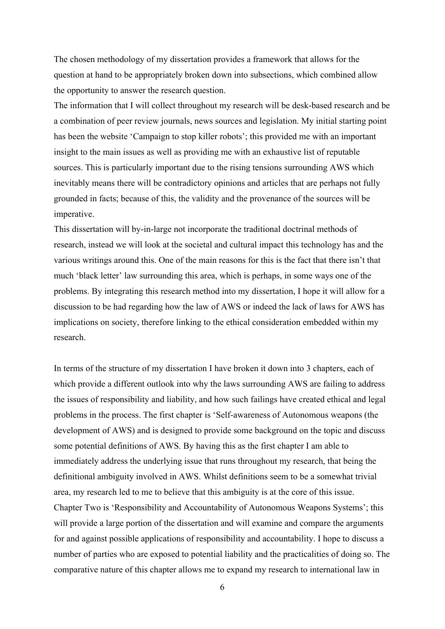The chosen methodology of my dissertation provides a framework that allows for the question at hand to be appropriately broken down into subsections, which combined allow the opportunity to answer the research question.

The information that I will collect throughout my research will be desk-based research and be a combination of peer review journals, news sources and legislation. My initial starting point has been the website 'Campaign to stop killer robots'; this provided me with an important insight to the main issues as well as providing me with an exhaustive list of reputable sources. This is particularly important due to the rising tensions surrounding AWS which inevitably means there will be contradictory opinions and articles that are perhaps not fully grounded in facts; because of this, the validity and the provenance of the sources will be imperative.

This dissertation will by-in-large not incorporate the traditional doctrinal methods of research, instead we will look at the societal and cultural impact this technology has and the various writings around this. One of the main reasons for this is the fact that there isn't that much 'black letter' law surrounding this area, which is perhaps, in some ways one of the problems. By integrating this research method into my dissertation, I hope it will allow for a discussion to be had regarding how the law of AWS or indeed the lack of laws for AWS has implications on society, therefore linking to the ethical consideration embedded within my research.

In terms of the structure of my dissertation I have broken it down into 3 chapters, each of which provide a different outlook into why the laws surrounding AWS are failing to address the issues of responsibility and liability, and how such failings have created ethical and legal problems in the process. The first chapter is 'Self-awareness of Autonomous weapons (the development of AWS) and is designed to provide some background on the topic and discuss some potential definitions of AWS. By having this as the first chapter I am able to immediately address the underlying issue that runs throughout my research, that being the definitional ambiguity involved in AWS. Whilst definitions seem to be a somewhat trivial area, my research led to me to believe that this ambiguity is at the core of this issue. Chapter Two is 'Responsibility and Accountability of Autonomous Weapons Systems'; this will provide a large portion of the dissertation and will examine and compare the arguments for and against possible applications of responsibility and accountability. I hope to discuss a number of parties who are exposed to potential liability and the practicalities of doing so. The comparative nature of this chapter allows me to expand my research to international law in

6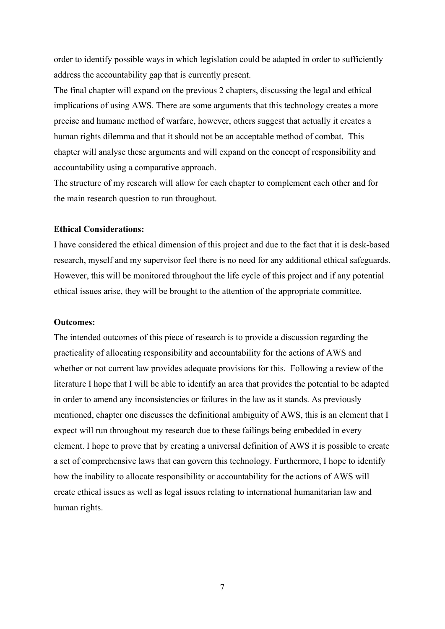order to identify possible ways in which legislation could be adapted in order to sufficiently address the accountability gap that is currently present.

The final chapter will expand on the previous 2 chapters, discussing the legal and ethical implications of using AWS. There are some arguments that this technology creates a more precise and humane method of warfare, however, others suggest that actually it creates a human rights dilemma and that it should not be an acceptable method of combat. This chapter will analyse these arguments and will expand on the concept of responsibility and accountability using a comparative approach.

The structure of my research will allow for each chapter to complement each other and for the main research question to run throughout.

### **Ethical Considerations:**

I have considered the ethical dimension of this project and due to the fact that it is desk-based research, myself and my supervisor feel there is no need for any additional ethical safeguards. However, this will be monitored throughout the life cycle of this project and if any potential ethical issues arise, they will be brought to the attention of the appropriate committee.

#### **Outcomes:**

The intended outcomes of this piece of research is to provide a discussion regarding the practicality of allocating responsibility and accountability for the actions of AWS and whether or not current law provides adequate provisions for this. Following a review of the literature I hope that I will be able to identify an area that provides the potential to be adapted in order to amend any inconsistencies or failures in the law as it stands. As previously mentioned, chapter one discusses the definitional ambiguity of AWS, this is an element that I expect will run throughout my research due to these failings being embedded in every element. I hope to prove that by creating a universal definition of AWS it is possible to create a set of comprehensive laws that can govern this technology. Furthermore, I hope to identify how the inability to allocate responsibility or accountability for the actions of AWS will create ethical issues as well as legal issues relating to international humanitarian law and human rights.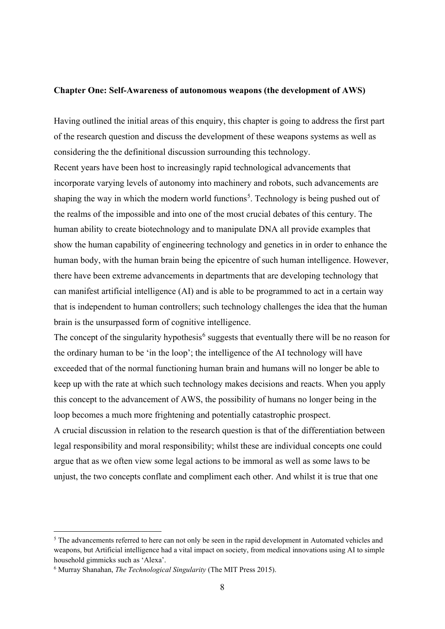#### **Chapter One: Self-Awareness of autonomous weapons (the development of AWS)**

Having outlined the initial areas of this enquiry, this chapter is going to address the first part of the research question and discuss the development of these weapons systems as well as considering the the definitional discussion surrounding this technology. Recent years have been host to increasingly rapid technological advancements that incorporate varying levels of autonomy into machinery and robots, such advancements are shaping the way in which the modern world functions<sup>[5](#page-7-0)</sup>. Technology is being pushed out of the realms of the impossible and into one of the most crucial debates of this century. The human ability to create biotechnology and to manipulate DNA all provide examples that show the human capability of engineering technology and genetics in in order to enhance the human body, with the human brain being the epicentre of such human intelligence. However, there have been extreme advancements in departments that are developing technology that can manifest artificial intelligence (AI) and is able to be programmed to act in a certain way that is independent to human controllers; such technology challenges the idea that the human brain is the unsurpassed form of cognitive intelligence.

The concept of the singularity hypothesis<sup>[6](#page-7-1)</sup> suggests that eventually there will be no reason for the ordinary human to be 'in the loop'; the intelligence of the AI technology will have exceeded that of the normal functioning human brain and humans will no longer be able to keep up with the rate at which such technology makes decisions and reacts. When you apply this concept to the advancement of AWS, the possibility of humans no longer being in the loop becomes a much more frightening and potentially catastrophic prospect.

A crucial discussion in relation to the research question is that of the differentiation between legal responsibility and moral responsibility; whilst these are individual concepts one could argue that as we often view some legal actions to be immoral as well as some laws to be unjust, the two concepts conflate and compliment each other. And whilst it is true that one

<span id="page-7-0"></span><sup>&</sup>lt;sup>5</sup> The advancements referred to here can not only be seen in the rapid development in Automated vehicles and weapons, but Artificial intelligence had a vital impact on society, from medical innovations using AI to simple household gimmicks such as 'Alexa'.

<span id="page-7-1"></span><sup>6</sup> Murray Shanahan, *The Technological Singularity* (The MIT Press 2015).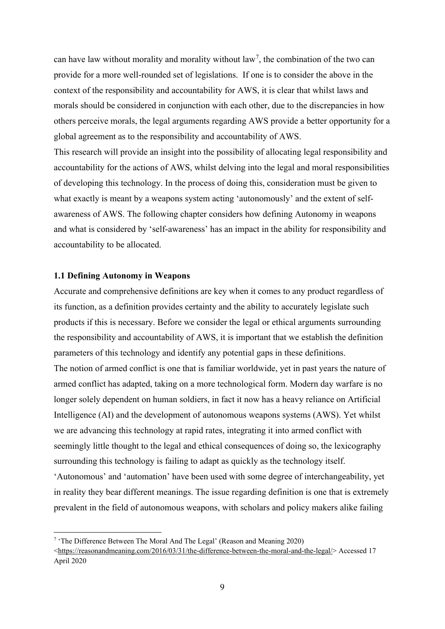can have law without morality and morality without law<sup>[7](#page-8-0)</sup>, the combination of the two can provide for a more well-rounded set of legislations. If one is to consider the above in the context of the responsibility and accountability for AWS, it is clear that whilst laws and morals should be considered in conjunction with each other, due to the discrepancies in how others perceive morals, the legal arguments regarding AWS provide a better opportunity for a global agreement as to the responsibility and accountability of AWS.

This research will provide an insight into the possibility of allocating legal responsibility and accountability for the actions of AWS, whilst delving into the legal and moral responsibilities of developing this technology. In the process of doing this, consideration must be given to what exactly is meant by a weapons system acting 'autonomously' and the extent of selfawareness of AWS. The following chapter considers how defining Autonomy in weapons and what is considered by 'self-awareness' has an impact in the ability for responsibility and accountability to be allocated.

### **1.1 Defining Autonomy in Weapons**

Accurate and comprehensive definitions are key when it comes to any product regardless of its function, as a definition provides certainty and the ability to accurately legislate such products if this is necessary. Before we consider the legal or ethical arguments surrounding the responsibility and accountability of AWS, it is important that we establish the definition parameters of this technology and identify any potential gaps in these definitions. The notion of armed conflict is one that is familiar worldwide, yet in past years the nature of armed conflict has adapted, taking on a more technological form. Modern day warfare is no longer solely dependent on human soldiers, in fact it now has a heavy reliance on Artificial Intelligence (AI) and the development of autonomous weapons systems (AWS). Yet whilst we are advancing this technology at rapid rates, integrating it into armed conflict with seemingly little thought to the legal and ethical consequences of doing so, the lexicography surrounding this technology is failing to adapt as quickly as the technology itself. 'Autonomous' and 'automation' have been used with some degree of interchangeability, yet in reality they bear different meanings. The issue regarding definition is one that is extremely prevalent in the field of autonomous weapons, with scholars and policy makers alike failing

<span id="page-8-0"></span><sup>7</sup> 'The Difference Between The Moral And The Legal' (Reason and Meaning 2020)

[<sup>&</sup>lt;https://reasonandmeaning.com/2016/03/31/the-difference-between-the-moral-and-the-legal/>](https://reasonandmeaning.com/2016/03/31/the-difference-between-the-moral-and-the-legal/) Accessed 17 April 2020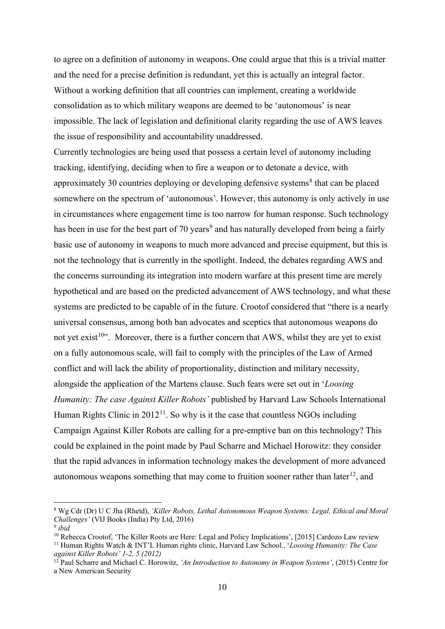to agree on a definition of autonomy in weapons. One could argue that this is a trivial matter and the need for a precise definition is redundant, yet this is actually an integral factor. Without a working definition that all countries can implement, creating a worldwide consolidation as to which military weapons are deemed to be 'autonomous' is near impossible. The lack of legislation and definitional clarity regarding the use of AWS leaves the issue of responsibility and accountability unaddressed.

Currently technologies are being used that possess a certain level of autonomy including tracking, identifying, deciding when to fire a weapon or to detonate a device, with approximately 30 countries deploying or developing defensive systems<sup>[8](#page-9-0)</sup> that can be placed somewhere on the spectrum of 'autonomous'. However, this autonomy is only actively in use in circumstances where engagement time is too narrow for human response. Such technology has been in use for the best part of 70 years<sup>[9](#page-9-1)</sup> and has naturally developed from being a fairly basic use of autonomy in weapons to much more advanced and precise equipment, but this is not the technology that is currently in the spotlight. Indeed, the debates regarding AWS and the concerns surrounding its integration into modern warfare at this present time are merely hypothetical and are based on the predicted advancement of AWS technology, and what these systems are predicted to be capable of in the future. Crootof considered that "there is a nearly universal consensus, among both ban advocates and sceptics that autonomous weapons do not yet exist<sup>[10](#page-9-2)</sup>. Moreover, there is a further concern that AWS, whilst they are yet to exist on a fully autonomous scale, will fail to comply with the principles of the Law of Armed conflict and will lack the ability of proportionality, distinction and military necessity, alongside the application of the Martens clause. Such fears were set out in '*Loosing Humanity: The case Against Killer Robots'* published by Harvard Law Schools International Human Rights Clinic in  $2012<sup>11</sup>$ . So why is it the case that countless NGOs including Campaign Against Killer Robots are calling for a pre-emptive ban on this technology? This could be explained in the point made by Paul Scharre and Michael Horowitz: they consider that the rapid advances in information technology makes the development of more advanced autonomous weapons something that may come to fruition sooner rather than later<sup>[12](#page-9-4)</sup>, and

<span id="page-9-0"></span><sup>8</sup> Wg Cdr (Dr) U C Jha (Rhetd), *'Killer Robots, Lethal Autonomous Weapon Systems: Legal, Ethical and Moral Challenges'* (VIJ Books (India) Pty Ltd, 2016)

<span id="page-9-1"></span><sup>9</sup> *ibid*

<span id="page-9-2"></span><sup>&</sup>lt;sup>10</sup> Rebecca Crootof, 'The Killer Roots are Here: Legal and Policy Implications', [2015] Cardozo Law review

<span id="page-9-3"></span><sup>11</sup> Human Rights Watch & INT'L Human rights clinic, Harvard Law School., '*Loosing Humanity: The Case against Killer Robots' 1-2, 5 (2012)*

<span id="page-9-4"></span><sup>12</sup> Paul Scharre and Michael C. Horowitz, *'An Introduction to Autonomy in Weapon Systems'*, (2015) Centre for a New American Security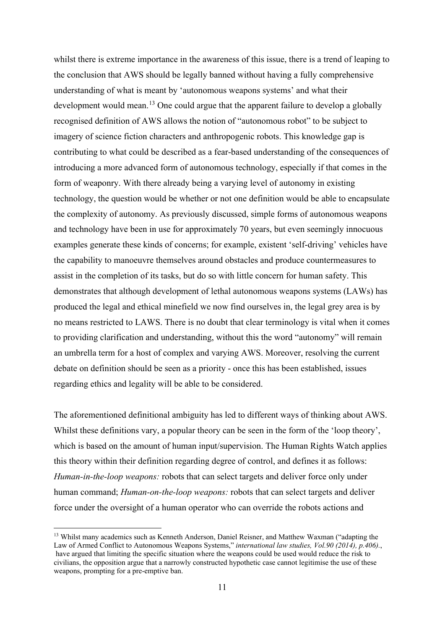whilst there is extreme importance in the awareness of this issue, there is a trend of leaping to the conclusion that AWS should be legally banned without having a fully comprehensive understanding of what is meant by 'autonomous weapons systems' and what their development would mean.<sup>[13](#page-10-0)</sup> One could argue that the apparent failure to develop a globally recognised definition of AWS allows the notion of "autonomous robot" to be subject to imagery of science fiction characters and anthropogenic robots. This knowledge gap is contributing to what could be described as a fear-based understanding of the consequences of introducing a more advanced form of autonomous technology, especially if that comes in the form of weaponry. With there already being a varying level of autonomy in existing technology, the question would be whether or not one definition would be able to encapsulate the complexity of autonomy. As previously discussed, simple forms of autonomous weapons and technology have been in use for approximately 70 years, but even seemingly innocuous examples generate these kinds of concerns; for example, existent 'self-driving' vehicles have the capability to manoeuvre themselves around obstacles and produce countermeasures to assist in the completion of its tasks, but do so with little concern for human safety. This demonstrates that although development of lethal autonomous weapons systems (LAWs) has produced the legal and ethical minefield we now find ourselves in, the legal grey area is by no means restricted to LAWS. There is no doubt that clear terminology is vital when it comes to providing clarification and understanding, without this the word "autonomy" will remain an umbrella term for a host of complex and varying AWS. Moreover, resolving the current debate on definition should be seen as a priority - once this has been established, issues regarding ethics and legality will be able to be considered.

The aforementioned definitional ambiguity has led to different ways of thinking about AWS. Whilst these definitions vary, a popular theory can be seen in the form of the 'loop theory', which is based on the amount of human input/supervision. The Human Rights Watch applies this theory within their definition regarding degree of control, and defines it as follows: *Human-in-the-loop weapons:* robots that can select targets and deliver force only under human command; *Human-on-the-loop weapons:* robots that can select targets and deliver force under the oversight of a human operator who can override the robots actions and

<span id="page-10-0"></span><sup>&</sup>lt;sup>13</sup> Whilst many academics such as Kenneth Anderson, Daniel Reisner, and Matthew Waxman ("adapting the Law of Armed Conflict to Autonomous Weapons Systems," *international law studies, Vol.90 (2014), p.406).*, have argued that limiting the specific situation where the weapons could be used would reduce the risk to civilians, the opposition argue that a narrowly constructed hypothetic case cannot legitimise the use of these weapons, prompting for a pre-emptive ban.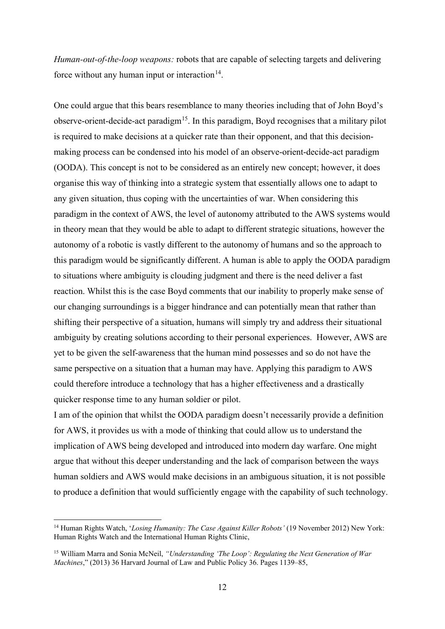*Human-out-of-the-loop weapons:* robots that are capable of selecting targets and delivering force without any human input or interaction $14$ .

One could argue that this bears resemblance to many theories including that of John Boyd's observe-orient-decide-act paradigm<sup>[15](#page-11-1)</sup>. In this paradigm, Boyd recognises that a military pilot is required to make decisions at a quicker rate than their opponent, and that this decisionmaking process can be condensed into his model of an observe-orient-decide-act paradigm (OODA). This concept is not to be considered as an entirely new concept; however, it does organise this way of thinking into a strategic system that essentially allows one to adapt to any given situation, thus coping with the uncertainties of war. When considering this paradigm in the context of AWS, the level of autonomy attributed to the AWS systems would in theory mean that they would be able to adapt to different strategic situations, however the autonomy of a robotic is vastly different to the autonomy of humans and so the approach to this paradigm would be significantly different. A human is able to apply the OODA paradigm to situations where ambiguity is clouding judgment and there is the need deliver a fast reaction. Whilst this is the case Boyd comments that our inability to properly make sense of our changing surroundings is a bigger hindrance and can potentially mean that rather than shifting their perspective of a situation, humans will simply try and address their situational ambiguity by creating solutions according to their personal experiences. However, AWS are yet to be given the self-awareness that the human mind possesses and so do not have the same perspective on a situation that a human may have. Applying this paradigm to AWS could therefore introduce a technology that has a higher effectiveness and a drastically quicker response time to any human soldier or pilot.

I am of the opinion that whilst the OODA paradigm doesn't necessarily provide a definition for AWS, it provides us with a mode of thinking that could allow us to understand the implication of AWS being developed and introduced into modern day warfare. One might argue that without this deeper understanding and the lack of comparison between the ways human soldiers and AWS would make decisions in an ambiguous situation, it is not possible to produce a definition that would sufficiently engage with the capability of such technology.

<span id="page-11-0"></span><sup>14</sup> Human Rights Watch, '*Losing Humanity: The Case Against Killer Robots'* (19 November 2012) New York: Human Rights Watch and the International Human Rights Clinic,

<span id="page-11-1"></span><sup>15</sup> William Marra and Sonia McNeil, *"Understanding 'The Loop': Regulating the Next Generation of War Machines*," (2013) 36 Harvard Journal of Law and Public Policy 36. Pages 1139–85,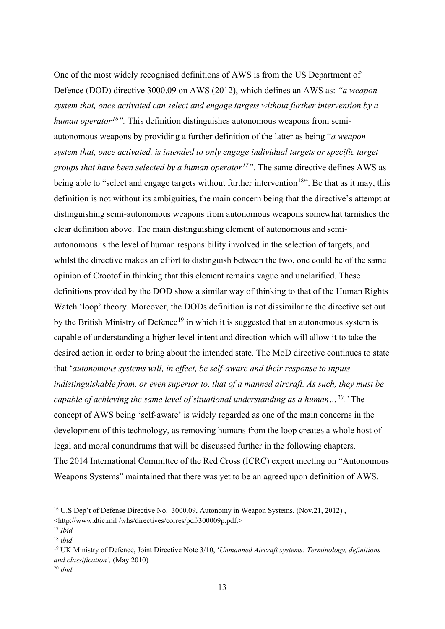One of the most widely recognised definitions of AWS is from the US Department of Defence (DOD) directive 3000.09 on AWS (2012), which defines an AWS as: *"a weapon system that, once activated can select and engage targets without further intervention by a human operator[16](#page-12-0)".* This definition distinguishes autonomous weapons from semiautonomous weapons by providing a further definition of the latter as being "*a weapon system that, once activated, is intended to only engage individual targets or specific target groups that have been selected by a human operator[17"](#page-12-1).* The same directive defines AWS as being able to "select and engage targets without further intervention<sup>18</sup>". Be that as it may, this definition is not without its ambiguities, the main concern being that the directive's attempt at distinguishing semi-autonomous weapons from autonomous weapons somewhat tarnishes the clear definition above. The main distinguishing element of autonomous and semiautonomous is the level of human responsibility involved in the selection of targets, and whilst the directive makes an effort to distinguish between the two, one could be of the same opinion of Crootof in thinking that this element remains vague and unclarified. These definitions provided by the DOD show a similar way of thinking to that of the Human Rights Watch 'loop' theory. Moreover, the DODs definition is not dissimilar to the directive set out by the British Ministry of Defence<sup>[19](#page-12-3)</sup> in which it is suggested that an autonomous system is capable of understanding a higher level intent and direction which will allow it to take the desired action in order to bring about the intended state. The MoD directive continues to state that '*autonomous systems will, in effect, be self-aware and their response to inputs indistinguishable from, or even superior to, that of a manned aircraft. As such, they must be capable of achieving the same level of situational understanding as a human…[20](#page-12-4).'* The concept of AWS being 'self-aware' is widely regarded as one of the main concerns in the development of this technology, as removing humans from the loop creates a whole host of legal and moral conundrums that will be discussed further in the following chapters. The 2014 International Committee of the Red Cross (ICRC) expert meeting on "Autonomous Weapons Systems" maintained that there was yet to be an agreed upon definition of AWS.

<span id="page-12-0"></span><sup>&</sup>lt;sup>16</sup> U.S Dep't of Defense Directive No. 3000.09, Autonomy in Weapon Systems, (Nov.21, 2012), <http://www.dtic.mil /whs/directives/corres/pdf/300009p.pdf.>

<span id="page-12-1"></span><sup>17</sup> *Ibid* 

<span id="page-12-2"></span><sup>18</sup> *ibid*

<span id="page-12-3"></span><sup>19</sup> UK Ministry of Defence, Joint Directive Note 3/10, '*Unmanned Aircraft systems: Terminology, definitions and classification',* (May 2010)

<span id="page-12-4"></span><sup>20</sup> *ibid*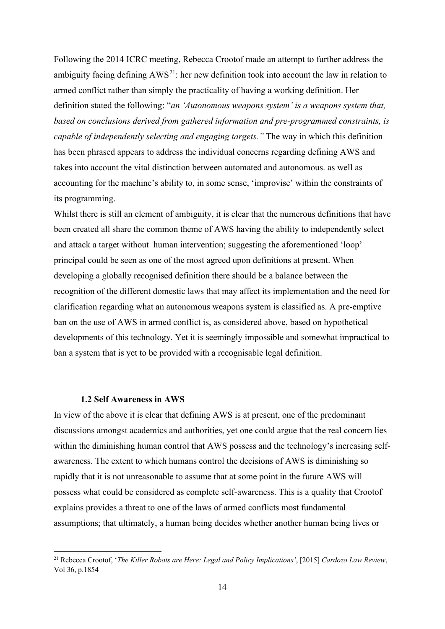Following the 2014 ICRC meeting, Rebecca Crootof made an attempt to further address the ambiguity facing defining  $AWS^{21}$ : her new definition took into account the law in relation to armed conflict rather than simply the practicality of having a working definition. Her definition stated the following: "*an 'Autonomous weapons system' is a weapons system that, based on conclusions derived from gathered information and pre-programmed constraints, is capable of independently selecting and engaging targets."* The way in which this definition has been phrased appears to address the individual concerns regarding defining AWS and takes into account the vital distinction between automated and autonomous. as well as accounting for the machine's ability to, in some sense, 'improvise' within the constraints of its programming.

Whilst there is still an element of ambiguity, it is clear that the numerous definitions that have been created all share the common theme of AWS having the ability to independently select and attack a target without human intervention; suggesting the aforementioned 'loop' principal could be seen as one of the most agreed upon definitions at present. When developing a globally recognised definition there should be a balance between the recognition of the different domestic laws that may affect its implementation and the need for clarification regarding what an autonomous weapons system is classified as. A pre-emptive ban on the use of AWS in armed conflict is, as considered above, based on hypothetical developments of this technology. Yet it is seemingly impossible and somewhat impractical to ban a system that is yet to be provided with a recognisable legal definition.

#### **1.2 Self Awareness in AWS**

In view of the above it is clear that defining AWS is at present, one of the predominant discussions amongst academics and authorities, yet one could argue that the real concern lies within the diminishing human control that AWS possess and the technology's increasing selfawareness. The extent to which humans control the decisions of AWS is diminishing so rapidly that it is not unreasonable to assume that at some point in the future AWS will possess what could be considered as complete self-awareness. This is a quality that Crootof explains provides a threat to one of the laws of armed conflicts most fundamental assumptions; that ultimately, a human being decides whether another human being lives or

<span id="page-13-0"></span><sup>21</sup> Rebecca Crootof, '*The Killer Robots are Here: Legal and Policy Implications'*, [2015] *Cardozo Law Review*, Vol 36, p.1854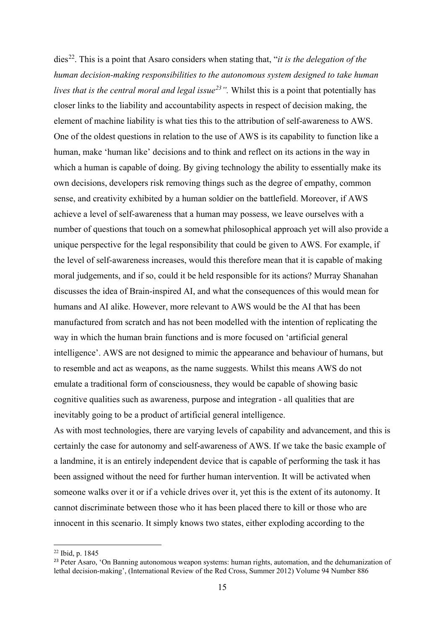dies<sup>22</sup>. This is a point that Asaro considers when stating that, "*it is the delegation of the human decision-making responsibilities to the autonomous system designed to take human lives that is the central moral and legal issue[23"](#page-14-1).* Whilst this is a point that potentially has closer links to the liability and accountability aspects in respect of decision making, the element of machine liability is what ties this to the attribution of self-awareness to AWS. One of the oldest questions in relation to the use of AWS is its capability to function like a human, make 'human like' decisions and to think and reflect on its actions in the way in which a human is capable of doing. By giving technology the ability to essentially make its own decisions, developers risk removing things such as the degree of empathy, common sense, and creativity exhibited by a human soldier on the battlefield. Moreover, if AWS achieve a level of self-awareness that a human may possess, we leave ourselves with a number of questions that touch on a somewhat philosophical approach yet will also provide a unique perspective for the legal responsibility that could be given to AWS. For example, if the level of self-awareness increases, would this therefore mean that it is capable of making moral judgements, and if so, could it be held responsible for its actions? Murray Shanahan discusses the idea of Brain-inspired AI, and what the consequences of this would mean for humans and AI alike. However, more relevant to AWS would be the AI that has been manufactured from scratch and has not been modelled with the intention of replicating the way in which the human brain functions and is more focused on 'artificial general intelligence'. AWS are not designed to mimic the appearance and behaviour of humans, but to resemble and act as weapons, as the name suggests. Whilst this means AWS do not emulate a traditional form of consciousness, they would be capable of showing basic cognitive qualities such as awareness, purpose and integration - all qualities that are inevitably going to be a product of artificial general intelligence.

As with most technologies, there are varying levels of capability and advancement, and this is certainly the case for autonomy and self-awareness of AWS. If we take the basic example of a landmine, it is an entirely independent device that is capable of performing the task it has been assigned without the need for further human intervention. It will be activated when someone walks over it or if a vehicle drives over it, yet this is the extent of its autonomy. It cannot discriminate between those who it has been placed there to kill or those who are innocent in this scenario. It simply knows two states, either exploding according to the

<span id="page-14-0"></span><sup>22</sup> Ibid, p. 1845

<span id="page-14-1"></span><sup>&</sup>lt;sup>23</sup> Peter Asaro, 'On Banning autonomous weapon systems: human rights, automation, and the dehumanization of lethal decision-making', (International Review of the Red Cross, Summer 2012) Volume 94 Number 886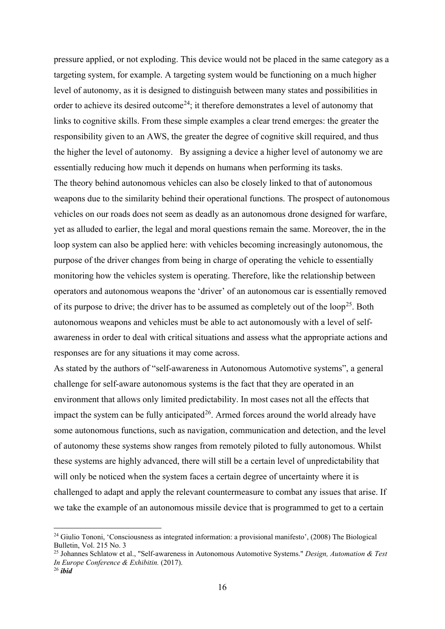pressure applied, or not exploding. This device would not be placed in the same category as a targeting system, for example. A targeting system would be functioning on a much higher level of autonomy, as it is designed to distinguish between many states and possibilities in order to achieve its desired outcome<sup>[24](#page-15-0)</sup>; it therefore demonstrates a level of autonomy that links to cognitive skills. From these simple examples a clear trend emerges: the greater the responsibility given to an AWS, the greater the degree of cognitive skill required, and thus the higher the level of autonomy. By assigning a device a higher level of autonomy we are essentially reducing how much it depends on humans when performing its tasks. The theory behind autonomous vehicles can also be closely linked to that of autonomous weapons due to the similarity behind their operational functions. The prospect of autonomous vehicles on our roads does not seem as deadly as an autonomous drone designed for warfare, yet as alluded to earlier, the legal and moral questions remain the same. Moreover, the in the loop system can also be applied here: with vehicles becoming increasingly autonomous, the purpose of the driver changes from being in charge of operating the vehicle to essentially monitoring how the vehicles system is operating. Therefore, like the relationship between operators and autonomous weapons the 'driver' of an autonomous car is essentially removed of its purpose to drive; the driver has to be assumed as completely out of the loop<sup>[25](#page-15-1)</sup>. Both autonomous weapons and vehicles must be able to act autonomously with a level of selfawareness in order to deal with critical situations and assess what the appropriate actions and responses are for any situations it may come across.

As stated by the authors of "self-awareness in Autonomous Automotive systems", a general challenge for self-aware autonomous systems is the fact that they are operated in an environment that allows only limited predictability. In most cases not all the effects that impact the system can be fully anticipated<sup>[26](#page-15-2)</sup>. Armed forces around the world already have some autonomous functions, such as navigation, communication and detection, and the level of autonomy these systems show ranges from remotely piloted to fully autonomous. Whilst these systems are highly advanced, there will still be a certain level of unpredictability that will only be noticed when the system faces a certain degree of uncertainty where it is challenged to adapt and apply the relevant countermeasure to combat any issues that arise. If we take the example of an autonomous missile device that is programmed to get to a certain

<span id="page-15-0"></span><sup>24</sup> Giulio Tononi, 'Consciousness as integrated information: a provisional manifesto', (2008) The Biological Bulletin, Vol. 215 No. 3

<span id="page-15-1"></span><sup>25</sup> Johannes Schlatow et al., "Self-awareness in Autonomous Automotive Systems." *Design, Automation & Test In Europe Conference & Exhibitin.* (2017).

<span id="page-15-2"></span><sup>26</sup> *ibid*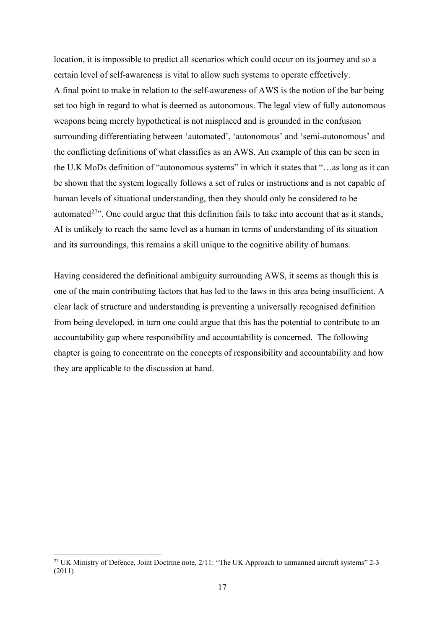location, it is impossible to predict all scenarios which could occur on its journey and so a certain level of self-awareness is vital to allow such systems to operate effectively. A final point to make in relation to the self-awareness of AWS is the notion of the bar being set too high in regard to what is deemed as autonomous. The legal view of fully autonomous weapons being merely hypothetical is not misplaced and is grounded in the confusion surrounding differentiating between 'automated', 'autonomous' and 'semi-autonomous' and the conflicting definitions of what classifies as an AWS. An example of this can be seen in the U.K MoDs definition of "autonomous systems" in which it states that "…as long as it can be shown that the system logically follows a set of rules or instructions and is not capable of human levels of situational understanding, then they should only be considered to be automated<sup> $27$ </sup>. One could argue that this definition fails to take into account that as it stands, AI is unlikely to reach the same level as a human in terms of understanding of its situation and its surroundings, this remains a skill unique to the cognitive ability of humans.

Having considered the definitional ambiguity surrounding AWS, it seems as though this is one of the main contributing factors that has led to the laws in this area being insufficient. A clear lack of structure and understanding is preventing a universally recognised definition from being developed, in turn one could argue that this has the potential to contribute to an accountability gap where responsibility and accountability is concerned. The following chapter is going to concentrate on the concepts of responsibility and accountability and how they are applicable to the discussion at hand.

<span id="page-16-0"></span><sup>&</sup>lt;sup>27</sup> UK Ministry of Defence, Joint Doctrine note, 2/11: "The UK Approach to unmanned aircraft systems" 2-3 (2011)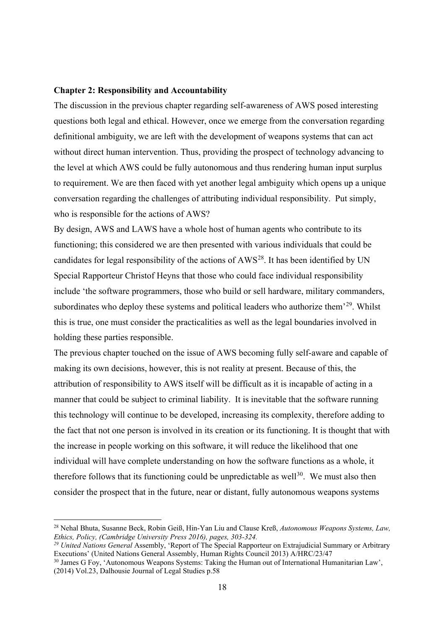#### **Chapter 2: Responsibility and Accountability**

The discussion in the previous chapter regarding self-awareness of AWS posed interesting questions both legal and ethical. However, once we emerge from the conversation regarding definitional ambiguity, we are left with the development of weapons systems that can act without direct human intervention. Thus, providing the prospect of technology advancing to the level at which AWS could be fully autonomous and thus rendering human input surplus to requirement. We are then faced with yet another legal ambiguity which opens up a unique conversation regarding the challenges of attributing individual responsibility. Put simply, who is responsible for the actions of AWS?

By design, AWS and LAWS have a whole host of human agents who contribute to its functioning; this considered we are then presented with various individuals that could be candidates for legal responsibility of the actions of  $AWS^{28}$  $AWS^{28}$  $AWS^{28}$ . It has been identified by UN Special Rapporteur Christof Heyns that those who could face individual responsibility include 'the software programmers, those who build or sell hardware, military commanders, subordinates who deploy these systems and political leaders who authorize them<sup>'[29](#page-17-1)</sup>. Whilst this is true, one must consider the practicalities as well as the legal boundaries involved in holding these parties responsible.

The previous chapter touched on the issue of AWS becoming fully self-aware and capable of making its own decisions, however, this is not reality at present. Because of this, the attribution of responsibility to AWS itself will be difficult as it is incapable of acting in a manner that could be subject to criminal liability. It is inevitable that the software running this technology will continue to be developed, increasing its complexity, therefore adding to the fact that not one person is involved in its creation or its functioning. It is thought that with the increase in people working on this software, it will reduce the likelihood that one individual will have complete understanding on how the software functions as a whole, it therefore follows that its functioning could be unpredictable as well<sup>[30](#page-17-2)</sup>. We must also then consider the prospect that in the future, near or distant, fully autonomous weapons systems

<span id="page-17-0"></span><sup>28</sup> Nehal Bhuta, Susanne Beck, Robin Geiß, Hin-Yan Liu and Clause Kreß, *Autonomous Weapons Systems, Law, Ethics, Policy, (Cambridge University Press 2016), pages, 303-324.*

<span id="page-17-1"></span>*<sup>29</sup> United Nations General* Assembly, 'Report of The Special Rapporteur on Extrajudicial Summary or Arbitrary Executions' (United Nations General Assembly, Human Rights Council 2013) A/HRC/23/47

<span id="page-17-2"></span><sup>&</sup>lt;sup>30</sup> James G Foy, 'Autonomous Weapons Systems: Taking the Human out of International Humanitarian Law', (2014) Vol.23, Dalhousie Journal of Legal Studies p.58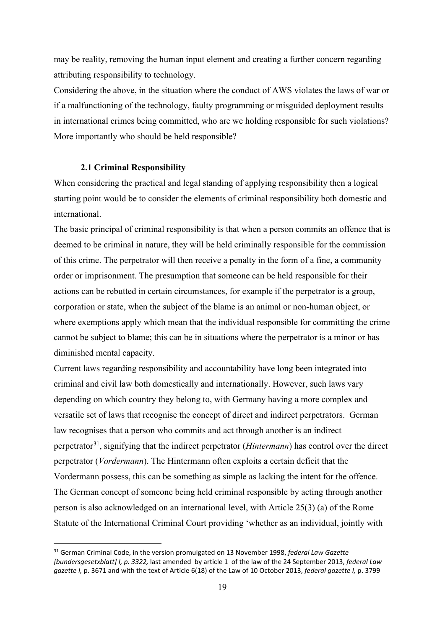may be reality, removing the human input element and creating a further concern regarding attributing responsibility to technology.

Considering the above, in the situation where the conduct of AWS violates the laws of war or if a malfunctioning of the technology, faulty programming or misguided deployment results in international crimes being committed, who are we holding responsible for such violations? More importantly who should be held responsible?

#### **2.1 Criminal Responsibility**

When considering the practical and legal standing of applying responsibility then a logical starting point would be to consider the elements of criminal responsibility both domestic and international.

The basic principal of criminal responsibility is that when a person commits an offence that is deemed to be criminal in nature, they will be held criminally responsible for the commission of this crime. The perpetrator will then receive a penalty in the form of a fine, a community order or imprisonment. The presumption that someone can be held responsible for their actions can be rebutted in certain circumstances, for example if the perpetrator is a group, corporation or state, when the subject of the blame is an animal or non-human object, or where exemptions apply which mean that the individual responsible for committing the crime cannot be subject to blame; this can be in situations where the perpetrator is a minor or has diminished mental capacity.

Current laws regarding responsibility and accountability have long been integrated into criminal and civil law both domestically and internationally. However, such laws vary depending on which country they belong to, with Germany having a more complex and versatile set of laws that recognise the concept of direct and indirect perpetrators. German law recognises that a person who commits and act through another is an indirect perpetrator[31](#page-18-0), signifying that the indirect perpetrator (*Hintermann*) has control over the direct perpetrator (*Vordermann*). The Hintermann often exploits a certain deficit that the Vordermann possess, this can be something as simple as lacking the intent for the offence. The German concept of someone being held criminal responsible by acting through another person is also acknowledged on an international level, with Article 25(3) (a) of the Rome Statute of the International Criminal Court providing 'whether as an individual, jointly with

<span id="page-18-0"></span><sup>31</sup> German Criminal Code, in the version promulgated on 13 November 1998, *federal Law Gazette [bundersgesetxblatt] I, p. 3322,* last amended by article 1 of the law of the 24 September 2013, *federal Law gazette I,* p. 3671 and with the text of Article 6(18) of the Law of 10 October 2013, *federal gazette I,* p. 3799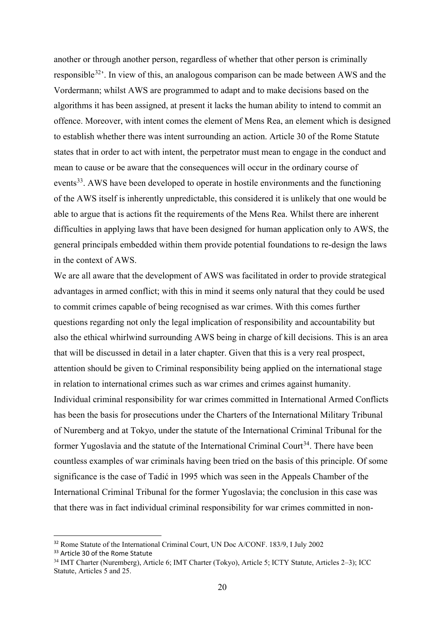another or through another person, regardless of whether that other person is criminally responsible  $32$ <sup>2</sup>. In view of this, an analogous comparison can be made between AWS and the Vordermann; whilst AWS are programmed to adapt and to make decisions based on the algorithms it has been assigned, at present it lacks the human ability to intend to commit an offence. Moreover, with intent comes the element of Mens Rea, an element which is designed to establish whether there was intent surrounding an action. Article 30 of the Rome Statute states that in order to act with intent, the perpetrator must mean to engage in the conduct and mean to cause or be aware that the consequences will occur in the ordinary course of events<sup>[33](#page-19-1)</sup>. AWS have been developed to operate in hostile environments and the functioning of the AWS itself is inherently unpredictable, this considered it is unlikely that one would be able to argue that is actions fit the requirements of the Mens Rea. Whilst there are inherent difficulties in applying laws that have been designed for human application only to AWS, the general principals embedded within them provide potential foundations to re-design the laws in the context of AWS.

We are all aware that the development of AWS was facilitated in order to provide strategical advantages in armed conflict; with this in mind it seems only natural that they could be used to commit crimes capable of being recognised as war crimes. With this comes further questions regarding not only the legal implication of responsibility and accountability but also the ethical whirlwind surrounding AWS being in charge of kill decisions. This is an area that will be discussed in detail in a later chapter. Given that this is a very real prospect, attention should be given to Criminal responsibility being applied on the international stage in relation to international crimes such as war crimes and crimes against humanity. Individual criminal responsibility for war crimes committed in International Armed Conflicts has been the basis for prosecutions under the Charters of the International Military Tribunal of Nuremberg and at Tokyo, under the statute of the International Criminal Tribunal for the former Yugoslavia and the statute of the International Criminal Court<sup>[34](#page-19-2)</sup>. There have been countless examples of war criminals having been tried on the basis of this principle. Of some significance is the case of Tadić in 1995 which was seen in the Appeals Chamber of the International Criminal Tribunal for the former Yugoslavia; the conclusion in this case was that there was in fact individual criminal responsibility for war crimes committed in non-

<span id="page-19-0"></span><sup>&</sup>lt;sup>32</sup> Rome Statute of the International Criminal Court, UN Doc A/CONF, 183/9, I July 2002

<span id="page-19-1"></span><sup>&</sup>lt;sup>33</sup> Article 30 of the Rome Statute

<span id="page-19-2"></span><sup>34</sup> IMT Charter (Nuremberg), Article 6; IMT Charter (Tokyo), Article 5; ICTY Statute, Articles 2–3); ICC Statute, Articles 5 and 25.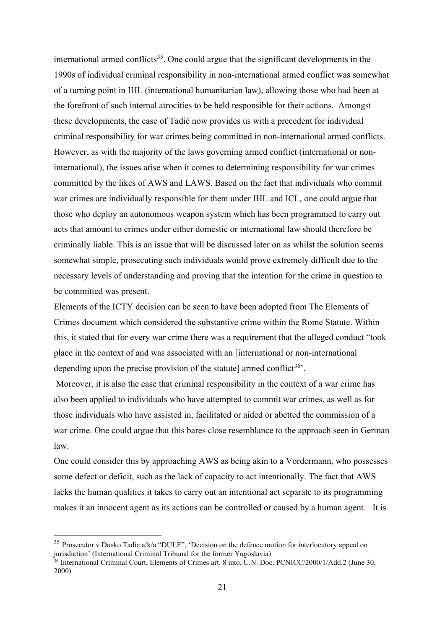international armed conflicts<sup>35</sup>. One could argue that the significant developments in the 1990s of individual criminal responsibility in non-international armed conflict was somewhat of a turning point in IHL (international humanitarian law), allowing those who had been at the forefront of such internal atrocities to be held responsible for their actions. Amongst these developments, the case of Tadić now provides us with a precedent for individual criminal responsibility for war crimes being committed in non-international armed conflicts. However, as with the majority of the laws governing armed conflict (international or noninternational), the issues arise when it comes to determining responsibility for war crimes committed by the likes of AWS and LAWS. Based on the fact that individuals who commit war crimes are individually responsible for them under IHL and ICL, one could argue that those who deploy an autonomous weapon system which has been programmed to carry out acts that amount to crimes under either domestic or international law should therefore be criminally liable. This is an issue that will be discussed later on as whilst the solution seems somewhat simple, prosecuting such individuals would prove extremely difficult due to the necessary levels of understanding and proving that the intention for the crime in question to be committed was present.

Elements of the ICTY decision can be seen to have been adopted from The Elements of Crimes document which considered the substantive crime within the Rome Statute. Within this, it stated that for every war crime there was a requirement that the alleged conduct "took place in the context of and was associated with an [international or non-international depending upon the precise provision of the statute] armed conflict<sup>[36](#page-20-1)</sup>.

Moreover, it is also the case that criminal responsibility in the context of a war crime has also been applied to individuals who have attempted to commit war crimes, as well as for those individuals who have assisted in, facilitated or aided or abetted the commission of a war crime. One could argue that this bares close resemblance to the approach seen in German law.

One could consider this by approaching AWS as being akin to a Vordermann, who possesses some defect or deficit, such as the lack of capacity to act intentionally. The fact that AWS lacks the human qualities it takes to carry out an intentional act separate to its programming makes it an innocent agent as its actions can be controlled or caused by a human agent. It is

<span id="page-20-0"></span><sup>&</sup>lt;sup>35</sup> Prosecutor v Dusko Tadic a/k/a "DULE", 'Decision on the defence motion for interlocutory appeal on jurisdiction' (International Criminal Tribunal for the former Yugoslavia)

<span id="page-20-1"></span><sup>36</sup> International Criminal Court, Elements of Crimes art. 8 into, U.N. Doc. PCNICC/2000/1/Add.2 (June 30, 2000)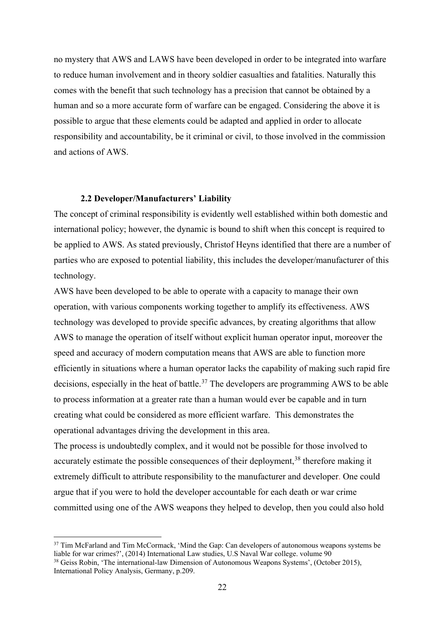no mystery that AWS and LAWS have been developed in order to be integrated into warfare to reduce human involvement and in theory soldier casualties and fatalities. Naturally this comes with the benefit that such technology has a precision that cannot be obtained by a human and so a more accurate form of warfare can be engaged. Considering the above it is possible to argue that these elements could be adapted and applied in order to allocate responsibility and accountability, be it criminal or civil, to those involved in the commission and actions of AWS.

#### **2.2 Developer/Manufacturers' Liability**

The concept of criminal responsibility is evidently well established within both domestic and international policy; however, the dynamic is bound to shift when this concept is required to be applied to AWS. As stated previously, Christof Heyns identified that there are a number of parties who are exposed to potential liability, this includes the developer/manufacturer of this technology.

AWS have been developed to be able to operate with a capacity to manage their own operation, with various components working together to amplify its effectiveness. AWS technology was developed to provide specific advances, by creating algorithms that allow AWS to manage the operation of itself without explicit human operator input, moreover the speed and accuracy of modern computation means that AWS are able to function more efficiently in situations where a human operator lacks the capability of making such rapid fire decisions, especially in the heat of battle.<sup>[37](#page-21-0)</sup> The developers are programming AWS to be able to process information at a greater rate than a human would ever be capable and in turn creating what could be considered as more efficient warfare. This demonstrates the operational advantages driving the development in this area.

The process is undoubtedly complex, and it would not be possible for those involved to accurately estimate the possible consequences of their deployment,<sup>[38](#page-21-1)</sup> therefore making it extremely difficult to attribute responsibility to the manufacturer and developer. One could argue that if you were to hold the developer accountable for each death or war crime committed using one of the AWS weapons they helped to develop, then you could also hold

<span id="page-21-0"></span><sup>&</sup>lt;sup>37</sup> Tim McFarland and Tim McCormack, 'Mind the Gap: Can developers of autonomous weapons systems be liable for war crimes?', (2014) International Law studies, U.S Naval War college. volume 90

<span id="page-21-1"></span><sup>&</sup>lt;sup>38</sup> Geiss Robin, 'The international-law Dimension of Autonomous Weapons Systems', (October 2015), International Policy Analysis, Germany, p.209.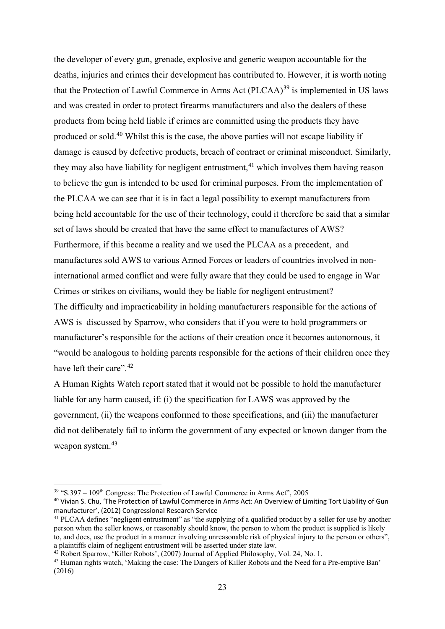the developer of every gun, grenade, explosive and generic weapon accountable for the deaths, injuries and crimes their development has contributed to. However, it is worth noting that the Protection of Lawful Commerce in Arms Act  $(PLCAA)^{39}$  $(PLCAA)^{39}$  $(PLCAA)^{39}$  is implemented in US laws and was created in order to protect firearms manufacturers and also the dealers of these products from being held liable if crimes are committed using the products they have produced or sold.[40](#page-22-1) Whilst this is the case, the above parties will not escape liability if damage is caused by defective products, breach of contract or criminal misconduct. Similarly, they may also have liability for negligent entrustment,<sup>[41](#page-22-2)</sup> which involves them having reason to believe the gun is intended to be used for criminal purposes. From the implementation of the PLCAA we can see that it is in fact a legal possibility to exempt manufacturers from being held accountable for the use of their technology, could it therefore be said that a similar set of laws should be created that have the same effect to manufactures of AWS? Furthermore, if this became a reality and we used the PLCAA as a precedent, and manufactures sold AWS to various Armed Forces or leaders of countries involved in noninternational armed conflict and were fully aware that they could be used to engage in War Crimes or strikes on civilians, would they be liable for negligent entrustment? The difficulty and impracticability in holding manufacturers responsible for the actions of AWS is discussed by Sparrow, who considers that if you were to hold programmers or manufacturer's responsible for the actions of their creation once it becomes autonomous, it "would be analogous to holding parents responsible for the actions of their children once they have left their care".<sup>[42](#page-22-3)</sup>

A Human Rights Watch report stated that it would not be possible to hold the manufacturer liable for any harm caused, if: (i) the specification for LAWS was approved by the government, (ii) the weapons conformed to those specifications, and (iii) the manufacturer did not deliberately fail to inform the government of any expected or known danger from the weapon system. [43](#page-22-4)

<span id="page-22-0"></span> $39$  "S.397 – 109<sup>th</sup> Congress: The Protection of Lawful Commerce in Arms Act", 2005

<span id="page-22-1"></span><sup>40</sup> Vivian S. Chu, 'The Protection of Lawful Commerce in Arms Act: An Overview of Limiting Tort Liability of Gun manufacturer', (2012) Congressional Research Service

<span id="page-22-2"></span><sup>&</sup>lt;sup>41</sup> PLCAA defines "negligent entrustment" as "the supplying of a qualified product by a seller for use by another person when the seller knows, or reasonably should know, the person to whom the product is supplied is likely to, and does, use the product in a manner involving unreasonable risk of physical injury to the person or others",

<span id="page-22-4"></span><span id="page-22-3"></span> $42$  Robert Sparrow, 'Killer Robots', (2007) Journal of Applied Philosophy, Vol. 24, No. 1.<br><sup>43</sup> Human rights watch, 'Making the case: The Dangers of Killer Robots and the Need for a Pre-emptive Ban' (2016)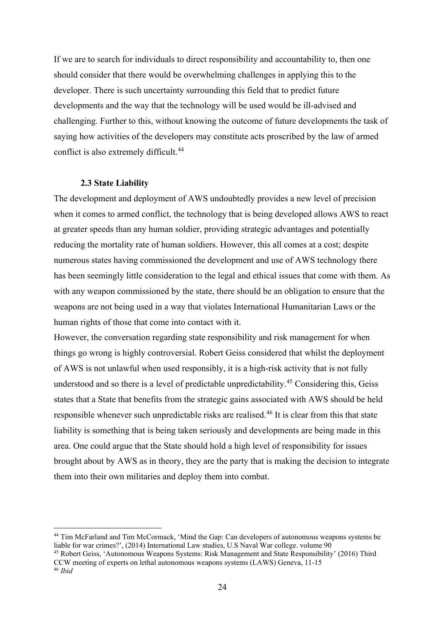If we are to search for individuals to direct responsibility and accountability to, then one should consider that there would be overwhelming challenges in applying this to the developer. There is such uncertainty surrounding this field that to predict future developments and the way that the technology will be used would be ill-advised and challenging. Further to this, without knowing the outcome of future developments the task of saying how activities of the developers may constitute acts proscribed by the law of armed conflict is also extremely difficult.<sup>[44](#page-23-0)</sup>

#### **2.3 State Liability**

The development and deployment of AWS undoubtedly provides a new level of precision when it comes to armed conflict, the technology that is being developed allows AWS to react at greater speeds than any human soldier, providing strategic advantages and potentially reducing the mortality rate of human soldiers. However, this all comes at a cost; despite numerous states having commissioned the development and use of AWS technology there has been seemingly little consideration to the legal and ethical issues that come with them. As with any weapon commissioned by the state, there should be an obligation to ensure that the weapons are not being used in a way that violates International Humanitarian Laws or the human rights of those that come into contact with it.

However, the conversation regarding state responsibility and risk management for when things go wrong is highly controversial. Robert Geiss considered that whilst the deployment of AWS is not unlawful when used responsibly, it is a high-risk activity that is not fully understood and so there is a level of predictable unpredictability. [45](#page-23-1) Considering this, Geiss states that a State that benefits from the strategic gains associated with AWS should be held responsible whenever such unpredictable risks are realised.<sup>[46](#page-23-2)</sup> It is clear from this that state liability is something that is being taken seriously and developments are being made in this area. One could argue that the State should hold a high level of responsibility for issues brought about by AWS as in theory, they are the party that is making the decision to integrate them into their own militaries and deploy them into combat.

<span id="page-23-0"></span><sup>&</sup>lt;sup>44</sup> Tim McFarland and Tim McCormack, 'Mind the Gap: Can developers of autonomous weapons systems be liable for war crimes?', (2014) International Law studies, U.S Naval War college. volume 90

<span id="page-23-1"></span><sup>45</sup> Robert Geiss, 'Autonomous Weapons Systems: Risk Management and State Responsibility' (2016) Third CCW meeting of experts on lethal autonomous weapons systems (LAWS) Geneva, 11-15 46 *Ibid*

<span id="page-23-2"></span>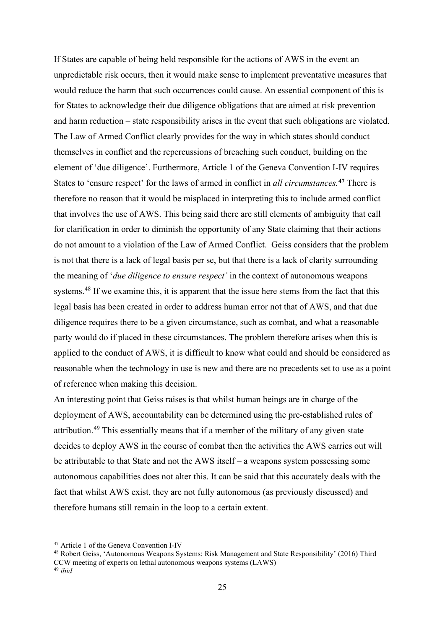If States are capable of being held responsible for the actions of AWS in the event an unpredictable risk occurs, then it would make sense to implement preventative measures that would reduce the harm that such occurrences could cause. An essential component of this is for States to acknowledge their due diligence obligations that are aimed at risk prevention and harm reduction – state responsibility arises in the event that such obligations are violated. The Law of Armed Conflict clearly provides for the way in which states should conduct themselves in conflict and the repercussions of breaching such conduct, building on the element of 'due diligence'. Furthermore, Article 1 of the Geneva Convention I-IV requires States to 'ensure respect' for the laws of armed in conflict in *all circumstances.* **[47](#page-24-0)** There is therefore no reason that it would be misplaced in interpreting this to include armed conflict that involves the use of AWS. This being said there are still elements of ambiguity that call for clarification in order to diminish the opportunity of any State claiming that their actions do not amount to a violation of the Law of Armed Conflict. Geiss considers that the problem is not that there is a lack of legal basis per se, but that there is a lack of clarity surrounding the meaning of '*due diligence to ensure respect'* in the context of autonomous weapons systems.<sup>[48](#page-24-1)</sup> If we examine this, it is apparent that the issue here stems from the fact that this legal basis has been created in order to address human error not that of AWS, and that due diligence requires there to be a given circumstance, such as combat, and what a reasonable party would do if placed in these circumstances. The problem therefore arises when this is applied to the conduct of AWS, it is difficult to know what could and should be considered as reasonable when the technology in use is new and there are no precedents set to use as a point of reference when making this decision.

An interesting point that Geiss raises is that whilst human beings are in charge of the deployment of AWS, accountability can be determined using the pre-established rules of attribution.<sup>[49](#page-24-2)</sup> This essentially means that if a member of the military of any given state decides to deploy AWS in the course of combat then the activities the AWS carries out will be attributable to that State and not the AWS itself – a weapons system possessing some autonomous capabilities does not alter this. It can be said that this accurately deals with the fact that whilst AWS exist, they are not fully autonomous (as previously discussed) and therefore humans still remain in the loop to a certain extent.

<span id="page-24-0"></span><sup>47</sup> Article 1 of the Geneva Convention I-IV

<span id="page-24-1"></span><sup>48</sup> Robert Geiss, 'Autonomous Weapons Systems: Risk Management and State Responsibility' (2016) Third CCW meeting of experts on lethal autonomous weapons systems (LAWS)

<span id="page-24-2"></span><sup>49</sup> *ibid*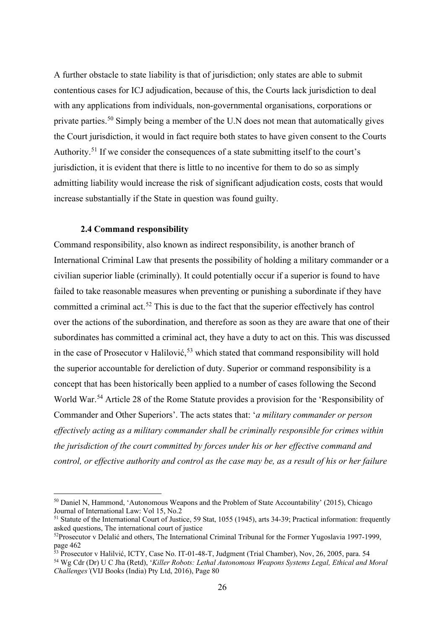A further obstacle to state liability is that of jurisdiction; only states are able to submit contentious cases for ICJ adjudication, because of this, the Courts lack jurisdiction to deal with any applications from individuals, non-governmental organisations, corporations or private parties.<sup>[50](#page-25-0)</sup> Simply being a member of the U.N does not mean that automatically gives the Court jurisdiction, it would in fact require both states to have given consent to the Courts Authority.<sup>[51](#page-25-1)</sup> If we consider the consequences of a state submitting itself to the court's jurisdiction, it is evident that there is little to no incentive for them to do so as simply admitting liability would increase the risk of significant adjudication costs, costs that would increase substantially if the State in question was found guilty.

#### **2.4 Command responsibility**

Command responsibility, also known as indirect responsibility, is another branch of International Criminal Law that presents the possibility of holding a military commander or a civilian superior liable (criminally). It could potentially occur if a superior is found to have failed to take reasonable measures when preventing or punishing a subordinate if they have committed a criminal act.<sup>[52](#page-25-2)</sup> This is due to the fact that the superior effectively has control over the actions of the subordination, and therefore as soon as they are aware that one of their subordinates has committed a criminal act, they have a duty to act on this. This was discussed in the case of Prosecutor v Halilović,<sup>[53](#page-25-3)</sup> which stated that command responsibility will hold the superior accountable for dereliction of duty. Superior or command responsibility is a concept that has been historically been applied to a number of cases following the Second World War.<sup>[54](#page-25-4)</sup> Article 28 of the Rome Statute provides a provision for the 'Responsibility of Commander and Other Superiors'. The acts states that: '*a military commander or person effectively acting as a military commander shall be criminally responsible for crimes within the jurisdiction of the court committed by forces under his or her effective command and control, or effective authority and control as the case may be, as a result of his or her failure* 

<span id="page-25-0"></span><sup>50</sup> Daniel N, Hammond, 'Autonomous Weapons and the Problem of State Accountability' (2015), Chicago Journal of International Law: Vol 15, No.2

<span id="page-25-1"></span><sup>&</sup>lt;sup>51</sup> Statute of the International Court of Justice, 59 Stat, 1055 (1945), arts 34-39; Practical information: frequently asked questions, The international court of justice

<span id="page-25-2"></span><sup>&</sup>lt;sup>52</sup>Prosecutor v Delalić and others, The International Criminal Tribunal for the Former Yugoslavia 1997-1999, page 462

<span id="page-25-3"></span><sup>53</sup> Prosecutor v Halilvić, ICTY, Case No. IT-01-48-T, Judgment (Trial Chamber), Nov, 26, 2005, para. 54

<span id="page-25-4"></span><sup>54</sup> Wg Cdr (Dr) U C Jha (Retd), '*Killer Robots: Lethal Autonomous Weapons Systems Legal, Ethical and Moral Challenges'*(VIJ Books (India) Pty Ltd, 2016), Page 80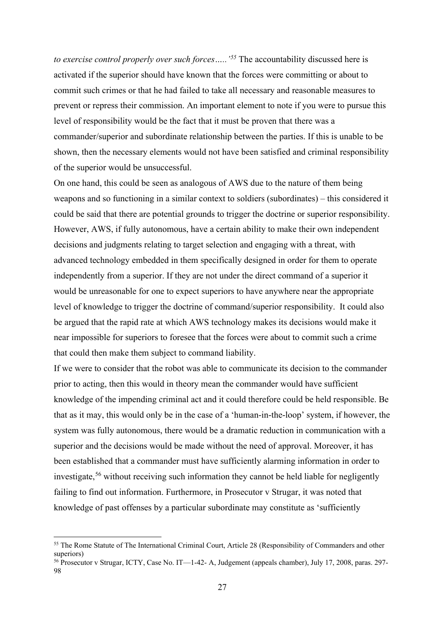*to exercise control properly over such forces…..'[55](#page-26-0)* The accountability discussed here is activated if the superior should have known that the forces were committing or about to commit such crimes or that he had failed to take all necessary and reasonable measures to prevent or repress their commission. An important element to note if you were to pursue this level of responsibility would be the fact that it must be proven that there was a commander/superior and subordinate relationship between the parties. If this is unable to be shown, then the necessary elements would not have been satisfied and criminal responsibility of the superior would be unsuccessful.

On one hand, this could be seen as analogous of AWS due to the nature of them being weapons and so functioning in a similar context to soldiers (subordinates) – this considered it could be said that there are potential grounds to trigger the doctrine or superior responsibility. However, AWS, if fully autonomous, have a certain ability to make their own independent decisions and judgments relating to target selection and engaging with a threat, with advanced technology embedded in them specifically designed in order for them to operate independently from a superior. If they are not under the direct command of a superior it would be unreasonable for one to expect superiors to have anywhere near the appropriate level of knowledge to trigger the doctrine of command/superior responsibility. It could also be argued that the rapid rate at which AWS technology makes its decisions would make it near impossible for superiors to foresee that the forces were about to commit such a crime that could then make them subject to command liability.

If we were to consider that the robot was able to communicate its decision to the commander prior to acting, then this would in theory mean the commander would have sufficient knowledge of the impending criminal act and it could therefore could be held responsible. Be that as it may, this would only be in the case of a 'human-in-the-loop' system, if however, the system was fully autonomous, there would be a dramatic reduction in communication with a superior and the decisions would be made without the need of approval. Moreover, it has been established that a commander must have sufficiently alarming information in order to investigate,<sup>[56](#page-26-1)</sup> without receiving such information they cannot be held liable for negligently failing to find out information. Furthermore, in Prosecutor v Strugar, it was noted that knowledge of past offenses by a particular subordinate may constitute as 'sufficiently

<span id="page-26-0"></span><sup>&</sup>lt;sup>55</sup> The Rome Statute of The International Criminal Court, Article 28 (Responsibility of Commanders and other superiors)

<span id="page-26-1"></span><sup>56</sup> Prosecutor v Strugar, ICTY, Case No. IT—1-42- A, Judgement (appeals chamber), July 17, 2008, paras. 297- 98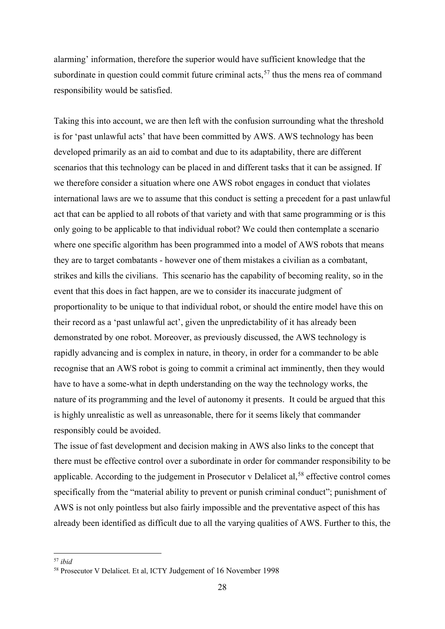alarming' information, therefore the superior would have sufficient knowledge that the subordinate in question could commit future criminal acts, $57$  thus the mens rea of command responsibility would be satisfied.

Taking this into account, we are then left with the confusion surrounding what the threshold is for 'past unlawful acts' that have been committed by AWS. AWS technology has been developed primarily as an aid to combat and due to its adaptability, there are different scenarios that this technology can be placed in and different tasks that it can be assigned. If we therefore consider a situation where one AWS robot engages in conduct that violates international laws are we to assume that this conduct is setting a precedent for a past unlawful act that can be applied to all robots of that variety and with that same programming or is this only going to be applicable to that individual robot? We could then contemplate a scenario where one specific algorithm has been programmed into a model of AWS robots that means they are to target combatants - however one of them mistakes a civilian as a combatant, strikes and kills the civilians. This scenario has the capability of becoming reality, so in the event that this does in fact happen, are we to consider its inaccurate judgment of proportionality to be unique to that individual robot, or should the entire model have this on their record as a 'past unlawful act', given the unpredictability of it has already been demonstrated by one robot. Moreover, as previously discussed, the AWS technology is rapidly advancing and is complex in nature, in theory, in order for a commander to be able recognise that an AWS robot is going to commit a criminal act imminently, then they would have to have a some-what in depth understanding on the way the technology works, the nature of its programming and the level of autonomy it presents. It could be argued that this is highly unrealistic as well as unreasonable, there for it seems likely that commander responsibly could be avoided.

The issue of fast development and decision making in AWS also links to the concept that there must be effective control over a subordinate in order for commander responsibility to be applicable. According to the judgement in Prosecutor  $v$  Delalicet al,<sup>[58](#page-27-1)</sup> effective control comes specifically from the "material ability to prevent or punish criminal conduct"; punishment of AWS is not only pointless but also fairly impossible and the preventative aspect of this has already been identified as difficult due to all the varying qualities of AWS. Further to this, the

<span id="page-27-0"></span><sup>57</sup> *ibid*

<span id="page-27-1"></span><sup>58</sup> Prosecutor V Delalicet. Et al, ICTY Judgement of 16 November 1998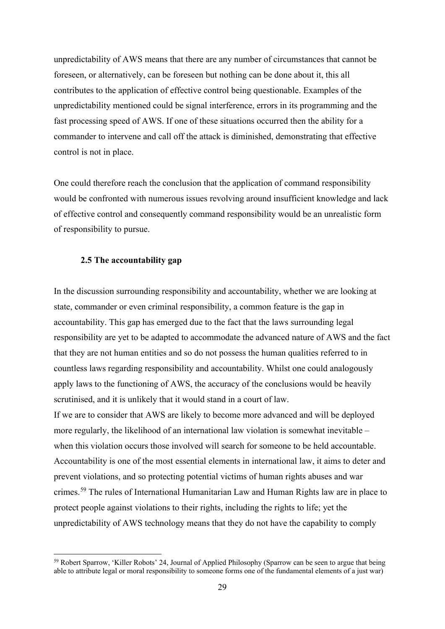unpredictability of AWS means that there are any number of circumstances that cannot be foreseen, or alternatively, can be foreseen but nothing can be done about it, this all contributes to the application of effective control being questionable. Examples of the unpredictability mentioned could be signal interference, errors in its programming and the fast processing speed of AWS. If one of these situations occurred then the ability for a commander to intervene and call off the attack is diminished, demonstrating that effective control is not in place.

One could therefore reach the conclusion that the application of command responsibility would be confronted with numerous issues revolving around insufficient knowledge and lack of effective control and consequently command responsibility would be an unrealistic form of responsibility to pursue.

#### **2.5 The accountability gap**

In the discussion surrounding responsibility and accountability, whether we are looking at state, commander or even criminal responsibility, a common feature is the gap in accountability. This gap has emerged due to the fact that the laws surrounding legal responsibility are yet to be adapted to accommodate the advanced nature of AWS and the fact that they are not human entities and so do not possess the human qualities referred to in countless laws regarding responsibility and accountability. Whilst one could analogously apply laws to the functioning of AWS, the accuracy of the conclusions would be heavily scrutinised, and it is unlikely that it would stand in a court of law.

If we are to consider that AWS are likely to become more advanced and will be deployed more regularly, the likelihood of an international law violation is somewhat inevitable – when this violation occurs those involved will search for someone to be held accountable. Accountability is one of the most essential elements in international law, it aims to deter and prevent violations, and so protecting potential victims of human rights abuses and war crimes.<sup>[59](#page-28-0)</sup> The rules of International Humanitarian Law and Human Rights law are in place to protect people against violations to their rights, including the rights to life; yet the unpredictability of AWS technology means that they do not have the capability to comply

<span id="page-28-0"></span><sup>&</sup>lt;sup>59</sup> Robert Sparrow, 'Killer Robots' 24, Journal of Applied Philosophy (Sparrow can be seen to argue that being able to attribute legal or moral responsibility to someone forms one of the fundamental elements of a just war)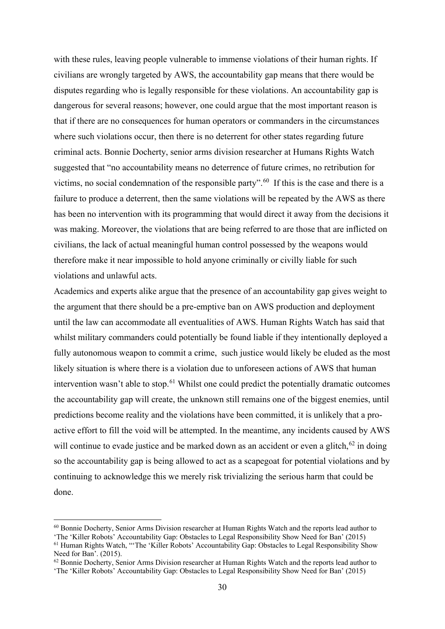with these rules, leaving people vulnerable to immense violations of their human rights. If civilians are wrongly targeted by AWS, the accountability gap means that there would be disputes regarding who is legally responsible for these violations. An accountability gap is dangerous for several reasons; however, one could argue that the most important reason is that if there are no consequences for human operators or commanders in the circumstances where such violations occur, then there is no deterrent for other states regarding future criminal acts. Bonnie Docherty, senior arms division researcher at Humans Rights Watch suggested that "no accountability means no deterrence of future crimes, no retribution for victims, no social condemnation of the responsible party".<sup>[60](#page-29-0)</sup> If this is the case and there is a failure to produce a deterrent, then the same violations will be repeated by the AWS as there has been no intervention with its programming that would direct it away from the decisions it was making. Moreover, the violations that are being referred to are those that are inflicted on civilians, the lack of actual meaningful human control possessed by the weapons would therefore make it near impossible to hold anyone criminally or civilly liable for such violations and unlawful acts.

Academics and experts alike argue that the presence of an accountability gap gives weight to the argument that there should be a pre-emptive ban on AWS production and deployment until the law can accommodate all eventualities of AWS. Human Rights Watch has said that whilst military commanders could potentially be found liable if they intentionally deployed a fully autonomous weapon to commit a crime, such justice would likely be eluded as the most likely situation is where there is a violation due to unforeseen actions of AWS that human intervention wasn't able to stop.<sup>[61](#page-29-1)</sup> Whilst one could predict the potentially dramatic outcomes the accountability gap will create, the unknown still remains one of the biggest enemies, until predictions become reality and the violations have been committed, it is unlikely that a proactive effort to fill the void will be attempted. In the meantime, any incidents caused by AWS will continue to evade justice and be marked down as an accident or even a glitch, $62$  in doing so the accountability gap is being allowed to act as a scapegoat for potential violations and by continuing to acknowledge this we merely risk trivializing the serious harm that could be done.

<span id="page-29-0"></span><sup>60</sup> Bonnie Docherty, Senior Arms Division researcher at Human Rights Watch and the reports lead author to

<span id="page-29-1"></span><sup>&#</sup>x27;The 'Killer Robots' Accountability Gap: Obstacles to Legal Responsibility Show Need for Ban' (2015) <sup>61</sup> Human Rights Watch, "The 'Killer Robots' Accountability Gap: Obstacles to Legal Responsibility Show Need for Ban'. (2015).

<span id="page-29-2"></span> $62$  Bonnie Docherty, Senior Arms Division researcher at Human Rights Watch and the reports lead author to 'The 'Killer Robots' Accountability Gap: Obstacles to Legal Responsibility Show Need for Ban' (2015)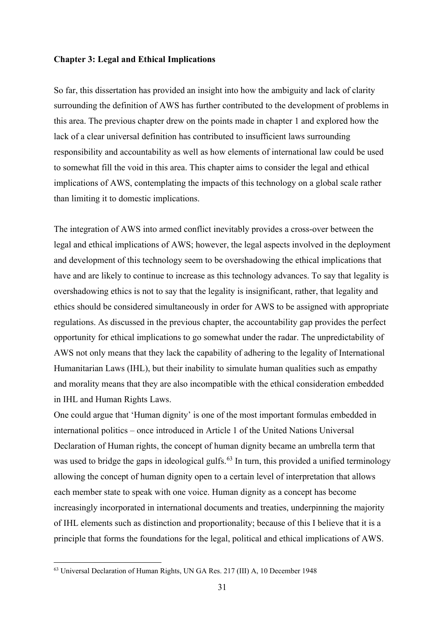#### **Chapter 3: Legal and Ethical Implications**

So far, this dissertation has provided an insight into how the ambiguity and lack of clarity surrounding the definition of AWS has further contributed to the development of problems in this area. The previous chapter drew on the points made in chapter 1 and explored how the lack of a clear universal definition has contributed to insufficient laws surrounding responsibility and accountability as well as how elements of international law could be used to somewhat fill the void in this area. This chapter aims to consider the legal and ethical implications of AWS, contemplating the impacts of this technology on a global scale rather than limiting it to domestic implications.

The integration of AWS into armed conflict inevitably provides a cross-over between the legal and ethical implications of AWS; however, the legal aspects involved in the deployment and development of this technology seem to be overshadowing the ethical implications that have and are likely to continue to increase as this technology advances. To say that legality is overshadowing ethics is not to say that the legality is insignificant, rather, that legality and ethics should be considered simultaneously in order for AWS to be assigned with appropriate regulations. As discussed in the previous chapter, the accountability gap provides the perfect opportunity for ethical implications to go somewhat under the radar. The unpredictability of AWS not only means that they lack the capability of adhering to the legality of International Humanitarian Laws (IHL), but their inability to simulate human qualities such as empathy and morality means that they are also incompatible with the ethical consideration embedded in IHL and Human Rights Laws.

One could argue that 'Human dignity' is one of the most important formulas embedded in international politics – once introduced in Article 1 of the United Nations Universal Declaration of Human rights, the concept of human dignity became an umbrella term that was used to bridge the gaps in ideological gulfs.<sup>[63](#page-30-0)</sup> In turn, this provided a unified terminology allowing the concept of human dignity open to a certain level of interpretation that allows each member state to speak with one voice. Human dignity as a concept has become increasingly incorporated in international documents and treaties, underpinning the majority of IHL elements such as distinction and proportionality; because of this I believe that it is a principle that forms the foundations for the legal, political and ethical implications of AWS.

<span id="page-30-0"></span><sup>63</sup> Universal Declaration of Human Rights, UN GA Res. 217 (III) A, 10 December 1948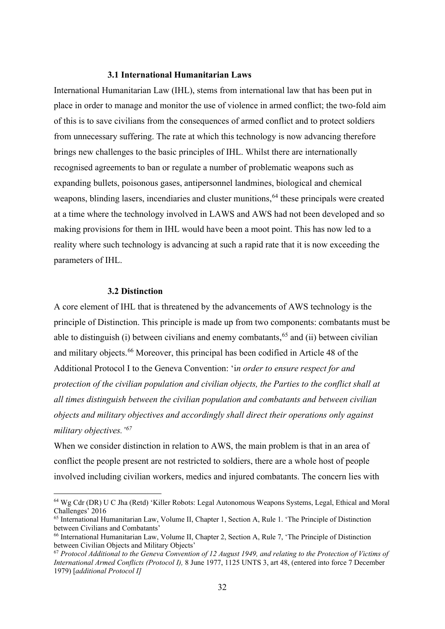### **3.1 International Humanitarian Laws**

International Humanitarian Law (IHL), stems from international law that has been put in place in order to manage and monitor the use of violence in armed conflict; the two-fold aim of this is to save civilians from the consequences of armed conflict and to protect soldiers from unnecessary suffering. The rate at which this technology is now advancing therefore brings new challenges to the basic principles of IHL. Whilst there are internationally recognised agreements to ban or regulate a number of problematic weapons such as expanding bullets, poisonous gases, antipersonnel landmines, biological and chemical weapons, blinding lasers, incendiaries and cluster munitions, <sup>[64](#page-31-0)</sup> these principals were created at a time where the technology involved in LAWS and AWS had not been developed and so making provisions for them in IHL would have been a moot point. This has now led to a reality where such technology is advancing at such a rapid rate that it is now exceeding the parameters of IHL.

#### **3.2 Distinction**

A core element of IHL that is threatened by the advancements of AWS technology is the principle of Distinction. This principle is made up from two components: combatants must be able to distinguish (i) between civilians and enemy combatants,  $65$  and (ii) between civilian and military objects.<sup>[66](#page-31-2)</sup> Moreover, this principal has been codified in Article 48 of the Additional Protocol I to the Geneva Convention: 'i*n order to ensure respect for and protection of the civilian population and civilian objects, the Parties to the conflict shall at all times distinguish between the civilian population and combatants and between civilian objects and military objectives and accordingly shall direct their operations only against military objectives.['67](#page-31-3)*

When we consider distinction in relation to AWS, the main problem is that in an area of conflict the people present are not restricted to soldiers, there are a whole host of people involved including civilian workers, medics and injured combatants. The concern lies with

<span id="page-31-0"></span><sup>64</sup> Wg Cdr (DR) U C Jha (Retd) 'Killer Robots: Legal Autonomous Weapons Systems, Legal, Ethical and Moral Challenges' 2016

<span id="page-31-1"></span><sup>65</sup> International Humanitarian Law, Volume II, Chapter 1, Section A, Rule 1. 'The Principle of Distinction between Civilians and Combatants'

<span id="page-31-2"></span><sup>&</sup>lt;sup>66</sup> International Humanitarian Law, Volume II, Chapter 2, Section A, Rule 7, 'The Principle of Distinction between Civilian Objects and Military Objects'

<span id="page-31-3"></span><sup>67</sup> *Protocol Additional to the Geneva Convention of 12 August 1949, and relating to the Protection of Victims of International Armed Conflicts (Protocol I),* 8 June 1977, 1125 UNTS 3, art 48, (entered into force 7 December 1979) [*additional Protocol I]*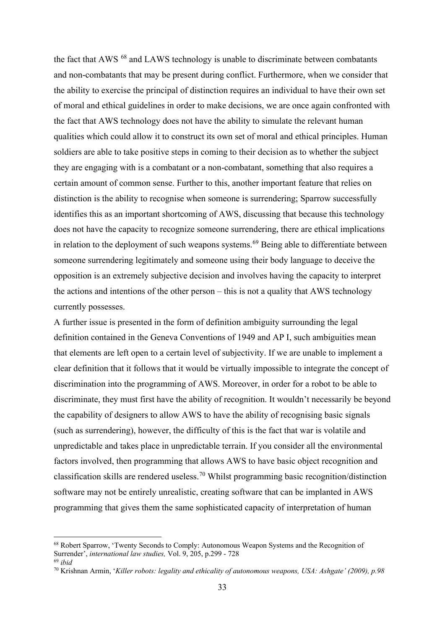the fact that AWS <sup>[68](#page-32-0)</sup> and LAWS technology is unable to discriminate between combatants and non-combatants that may be present during conflict. Furthermore, when we consider that the ability to exercise the principal of distinction requires an individual to have their own set of moral and ethical guidelines in order to make decisions, we are once again confronted with the fact that AWS technology does not have the ability to simulate the relevant human qualities which could allow it to construct its own set of moral and ethical principles. Human soldiers are able to take positive steps in coming to their decision as to whether the subject they are engaging with is a combatant or a non-combatant, something that also requires a certain amount of common sense. Further to this, another important feature that relies on distinction is the ability to recognise when someone is surrendering; Sparrow successfully identifies this as an important shortcoming of AWS, discussing that because this technology does not have the capacity to recognize someone surrendering, there are ethical implications in relation to the deployment of such weapons systems.<sup>[69](#page-32-1)</sup> Being able to differentiate between someone surrendering legitimately and someone using their body language to deceive the opposition is an extremely subjective decision and involves having the capacity to interpret the actions and intentions of the other person – this is not a quality that AWS technology currently possesses.

A further issue is presented in the form of definition ambiguity surrounding the legal definition contained in the Geneva Conventions of 1949 and AP I, such ambiguities mean that elements are left open to a certain level of subjectivity. If we are unable to implement a clear definition that it follows that it would be virtually impossible to integrate the concept of discrimination into the programming of AWS. Moreover, in order for a robot to be able to discriminate, they must first have the ability of recognition. It wouldn't necessarily be beyond the capability of designers to allow AWS to have the ability of recognising basic signals (such as surrendering), however, the difficulty of this is the fact that war is volatile and unpredictable and takes place in unpredictable terrain. If you consider all the environmental factors involved, then programming that allows AWS to have basic object recognition and classification skills are rendered useless. [70](#page-32-2) Whilst programming basic recognition/distinction software may not be entirely unrealistic, creating software that can be implanted in AWS programming that gives them the same sophisticated capacity of interpretation of human

<span id="page-32-0"></span><sup>&</sup>lt;sup>68</sup> Robert Sparrow, 'Twenty Seconds to Comply: Autonomous Weapon Systems and the Recognition of Surrender', *international law studies,* Vol. 9, 205, p.299 - 728 <sup>69</sup> *ibid*

<span id="page-32-2"></span><span id="page-32-1"></span><sup>70</sup> Krishnan Armin, '*Killer robots: legality and ethicality of autonomous weapons, USA: Ashgate' (2009), p.98*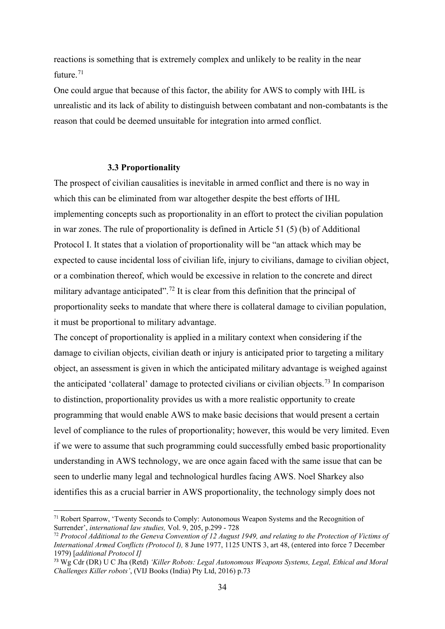reactions is something that is extremely complex and unlikely to be reality in the near future.<sup>[71](#page-33-0)</sup>

One could argue that because of this factor, the ability for AWS to comply with IHL is unrealistic and its lack of ability to distinguish between combatant and non-combatants is the reason that could be deemed unsuitable for integration into armed conflict.

#### **3.3 Proportionality**

The prospect of civilian causalities is inevitable in armed conflict and there is no way in which this can be eliminated from war altogether despite the best efforts of IHL implementing concepts such as proportionality in an effort to protect the civilian population in war zones. The rule of proportionality is defined in Article 51 (5) (b) of Additional Protocol I. It states that a violation of proportionality will be "an attack which may be expected to cause incidental loss of civilian life, injury to civilians, damage to civilian object, or a combination thereof, which would be excessive in relation to the concrete and direct military advantage anticipated".<sup>[72](#page-33-1)</sup> It is clear from this definition that the principal of proportionality seeks to mandate that where there is collateral damage to civilian population, it must be proportional to military advantage.

The concept of proportionality is applied in a military context when considering if the damage to civilian objects, civilian death or injury is anticipated prior to targeting a military object, an assessment is given in which the anticipated military advantage is weighed against the anticipated 'collateral' damage to protected civilians or civilian objects.<sup>[73](#page-33-2)</sup> In comparison to distinction, proportionality provides us with a more realistic opportunity to create programming that would enable AWS to make basic decisions that would present a certain level of compliance to the rules of proportionality; however, this would be very limited. Even if we were to assume that such programming could successfully embed basic proportionality understanding in AWS technology, we are once again faced with the same issue that can be seen to underlie many legal and technological hurdles facing AWS. Noel Sharkey also identifies this as a crucial barrier in AWS proportionality, the technology simply does not

<span id="page-33-0"></span><sup>71</sup> Robert Sparrow, 'Twenty Seconds to Comply: Autonomous Weapon Systems and the Recognition of Surrender', *international law studies,* Vol. 9, 205, p.299 - 728

<span id="page-33-1"></span><sup>72</sup> *Protocol Additional to the Geneva Convention of 12 August 1949, and relating to the Protection of Victims of International Armed Conflicts (Protocol I),* 8 June 1977, 1125 UNTS 3, art 48, (entered into force 7 December 1979) [*additional Protocol I]*

<span id="page-33-2"></span><sup>73</sup> Wg Cdr (DR) U C Jha (Retd) *'Killer Robots: Legal Autonomous Weapons Systems, Legal, Ethical and Moral Challenges Killer robots'*, (VIJ Books (India) Pty Ltd, 2016) p.73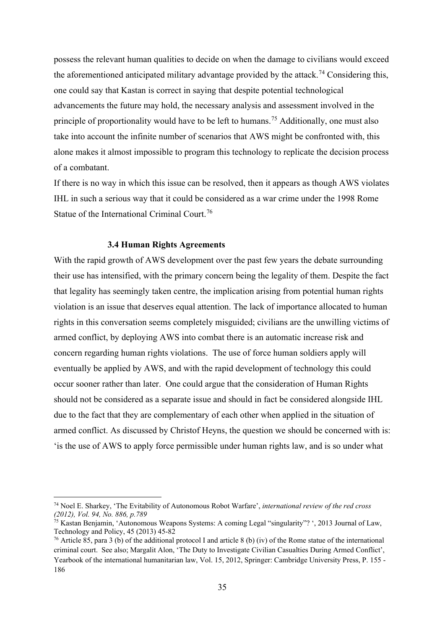possess the relevant human qualities to decide on when the damage to civilians would exceed the aforementioned anticipated military advantage provided by the attack.<sup>[74](#page-34-0)</sup> Considering this, one could say that Kastan is correct in saying that despite potential technological advancements the future may hold, the necessary analysis and assessment involved in the principle of proportionality would have to be left to humans.<sup>[75](#page-34-1)</sup> Additionally, one must also take into account the infinite number of scenarios that AWS might be confronted with, this alone makes it almost impossible to program this technology to replicate the decision process of a combatant.

If there is no way in which this issue can be resolved, then it appears as though AWS violates IHL in such a serious way that it could be considered as a war crime under the 1998 Rome Statue of the International Criminal Court.<sup>[76](#page-34-2)</sup>

#### **3.4 Human Rights Agreements**

With the rapid growth of AWS development over the past few years the debate surrounding their use has intensified, with the primary concern being the legality of them. Despite the fact that legality has seemingly taken centre, the implication arising from potential human rights violation is an issue that deserves equal attention. The lack of importance allocated to human rights in this conversation seems completely misguided; civilians are the unwilling victims of armed conflict, by deploying AWS into combat there is an automatic increase risk and concern regarding human rights violations. The use of force human soldiers apply will eventually be applied by AWS, and with the rapid development of technology this could occur sooner rather than later. One could argue that the consideration of Human Rights should not be considered as a separate issue and should in fact be considered alongside IHL due to the fact that they are complementary of each other when applied in the situation of armed conflict. As discussed by Christof Heyns, the question we should be concerned with is: 'is the use of AWS to apply force permissible under human rights law, and is so under what

<span id="page-34-0"></span><sup>74</sup> Noel E. Sharkey, 'The Evitability of Autonomous Robot Warfare', *international review of the red cross (2012), Vol. 94, No. 886, p.789*

<span id="page-34-1"></span><sup>75</sup> Kastan Benjamin, 'Autonomous Weapons Systems: A coming Legal "singularity"? ', 2013 Journal of Law, Technology and Policy, 45 (2013) 45-82

<span id="page-34-2"></span><sup>&</sup>lt;sup>76</sup> Article 85, para 3 (b) of the additional protocol I and article 8 (b) (iv) of the Rome statue of the international criminal court. See also; Margalit Alon, 'The Duty to Investigate Civilian Casualties During Armed Conflict', Yearbook of the international humanitarian law, Vol. 15, 2012, Springer: Cambridge University Press, P. 155 - 186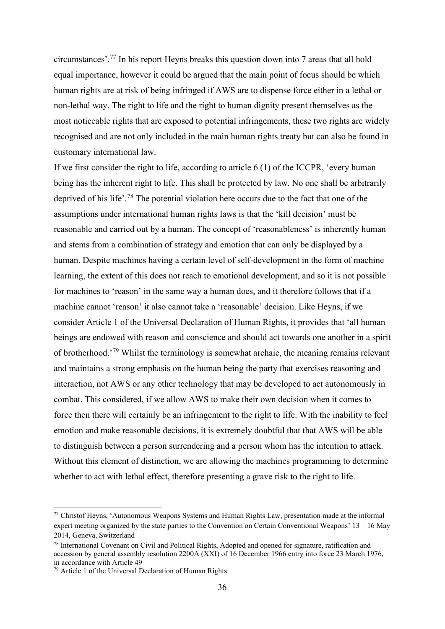circumstances'.[77](#page-35-0) In his report Heyns breaks this question down into 7 areas that all hold equal importance, however it could be argued that the main point of focus should be which human rights are at risk of being infringed if AWS are to dispense force either in a lethal or non-lethal way. The right to life and the right to human dignity present themselves as the most noticeable rights that are exposed to potential infringements, these two rights are widely recognised and are not only included in the main human rights treaty but can also be found in customary international law.

If we first consider the right to life, according to article 6 (1) of the ICCPR, 'every human being has the inherent right to life. This shall be protected by law. No one shall be arbitrarily deprived of his life'.[78](#page-35-1) The potential violation here occurs due to the fact that one of the assumptions under international human rights laws is that the 'kill decision' must be reasonable and carried out by a human. The concept of 'reasonableness' is inherently human and stems from a combination of strategy and emotion that can only be displayed by a human. Despite machines having a certain level of self-development in the form of machine learning, the extent of this does not reach to emotional development, and so it is not possible for machines to 'reason' in the same way a human does, and it therefore follows that if a machine cannot 'reason' it also cannot take a 'reasonable' decision. Like Heyns, if we consider Article 1 of the Universal Declaration of Human Rights, it provides that 'all human beings are endowed with reason and conscience and should act towards one another in a spirit of brotherhood.'[79](#page-35-2) Whilst the terminology is somewhat archaic, the meaning remains relevant and maintains a strong emphasis on the human being the party that exercises reasoning and interaction, not AWS or any other technology that may be developed to act autonomously in combat. This considered, if we allow AWS to make their own decision when it comes to force then there will certainly be an infringement to the right to life. With the inability to feel emotion and make reasonable decisions, it is extremely doubtful that that AWS will be able to distinguish between a person surrendering and a person whom has the intention to attack. Without this element of distinction, we are allowing the machines programming to determine whether to act with lethal effect, therefore presenting a grave risk to the right to life.

<span id="page-35-0"></span><sup>77</sup> Christof Heyns, 'Autonomous Weapons Systems and Human Rights Law, presentation made at the informal expert meeting organized by the state parties to the Convention on Certain Conventional Weapons' 13 – 16 May 2014, Geneva, Switzerland

<span id="page-35-1"></span><sup>78</sup> International Covenant on Civil and Political Rights, Adopted and opened for signature, ratification and accession by general assembly resolution 2200A (XXI) of 16 December 1966 entry into force 23 March 1976, in accordance with Article 49

<span id="page-35-2"></span><sup>79</sup> Article 1 of the Universal Declaration of Human Rights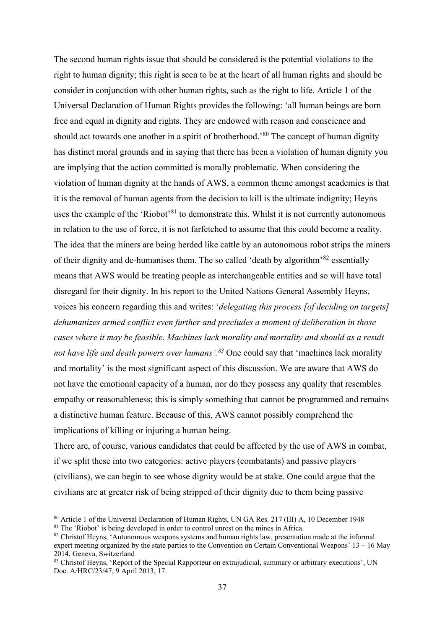The second human rights issue that should be considered is the potential violations to the right to human dignity; this right is seen to be at the heart of all human rights and should be consider in conjunction with other human rights, such as the right to life. Article 1 of the Universal Declaration of Human Rights provides the following: 'all human beings are born free and equal in dignity and rights. They are endowed with reason and conscience and should act towards one another in a spirit of brotherhood.<sup>[80](#page-36-0)</sup> The concept of human dignity has distinct moral grounds and in saying that there has been a violation of human dignity you are implying that the action committed is morally problematic. When considering the violation of human dignity at the hands of AWS, a common theme amongst academics is that it is the removal of human agents from the decision to kill is the ultimate indignity; Heyns uses the example of the 'Riobot'<sup>[81](#page-36-1)</sup> to demonstrate this. Whilst it is not currently autonomous in relation to the use of force, it is not farfetched to assume that this could become a reality. The idea that the miners are being herded like cattle by an autonomous robot strips the miners of their dignity and de-humanises them. The so called 'death by algorithm'<sup>[82](#page-36-2)</sup> essentially means that AWS would be treating people as interchangeable entities and so will have total disregard for their dignity. In his report to the United Nations General Assembly Heyns, voices his concern regarding this and writes: '*delegating this process [of deciding on targets] dehumanizes armed conflict even further and precludes a moment of deliberation in those cases where it may be feasible. Machines lack morality and mortality and should as a result not have life and death powers over humans'.[83](#page-36-3)* One could say that 'machines lack morality and mortality' is the most significant aspect of this discussion. We are aware that AWS do not have the emotional capacity of a human, nor do they possess any quality that resembles empathy or reasonableness; this is simply something that cannot be programmed and remains a distinctive human feature. Because of this, AWS cannot possibly comprehend the implications of killing or injuring a human being.

There are, of course, various candidates that could be affected by the use of AWS in combat, if we split these into two categories: active players (combatants) and passive players (civilians), we can begin to see whose dignity would be at stake. One could argue that the civilians are at greater risk of being stripped of their dignity due to them being passive

<span id="page-36-0"></span><sup>80</sup> Article 1 of the Universal Declaration of Human Rights, UN GA Res. 217 (III) A, 10 December 1948

<span id="page-36-1"></span><sup>&</sup>lt;sup>81</sup> The 'Riobot' is being developed in order to control unrest on the mines in Africa.

<span id="page-36-2"></span><sup>82</sup> Christof Heyns, 'Autonomous weapons systems and human rights law, presentation made at the informal expert meeting organized by the state parties to the Convention on Certain Conventional Weapons' 13 – 16 May 2014, Geneva, Switzerland

<span id="page-36-3"></span><sup>&</sup>lt;sup>83</sup> Christof Heyns, 'Report of the Special Rapporteur on extrajudicial, summary or arbitrary executions', UN Doc. A/HRC/23/47, 9 April 2013, 17.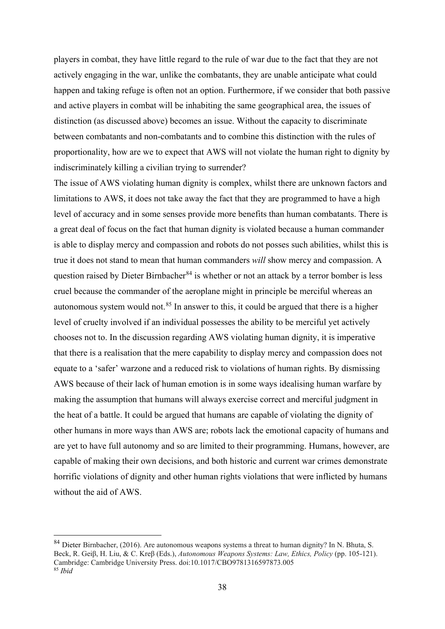players in combat, they have little regard to the rule of war due to the fact that they are not actively engaging in the war, unlike the combatants, they are unable anticipate what could happen and taking refuge is often not an option. Furthermore, if we consider that both passive and active players in combat will be inhabiting the same geographical area, the issues of distinction (as discussed above) becomes an issue. Without the capacity to discriminate between combatants and non-combatants and to combine this distinction with the rules of proportionality, how are we to expect that AWS will not violate the human right to dignity by indiscriminately killing a civilian trying to surrender?

The issue of AWS violating human dignity is complex, whilst there are unknown factors and limitations to AWS, it does not take away the fact that they are programmed to have a high level of accuracy and in some senses provide more benefits than human combatants. There is a great deal of focus on the fact that human dignity is violated because a human commander is able to display mercy and compassion and robots do not posses such abilities, whilst this is true it does not stand to mean that human commanders *will* show mercy and compassion. A question raised by Dieter Birnbacher<sup>[84](#page-37-0)</sup> is whether or not an attack by a terror bomber is less cruel because the commander of the aeroplane might in principle be merciful whereas an autonomous system would not.[85](#page-37-1) In answer to this, it could be argued that there is a higher level of cruelty involved if an individual possesses the ability to be merciful yet actively chooses not to. In the discussion regarding AWS violating human dignity, it is imperative that there is a realisation that the mere capability to display mercy and compassion does not equate to a 'safer' warzone and a reduced risk to violations of human rights. By dismissing AWS because of their lack of human emotion is in some ways idealising human warfare by making the assumption that humans will always exercise correct and merciful judgment in the heat of a battle. It could be argued that humans are capable of violating the dignity of other humans in more ways than AWS are; robots lack the emotional capacity of humans and are yet to have full autonomy and so are limited to their programming. Humans, however, are capable of making their own decisions, and both historic and current war crimes demonstrate horrific violations of dignity and other human rights violations that were inflicted by humans without the aid of AWS.

<span id="page-37-1"></span><span id="page-37-0"></span><sup>84</sup> Dieter Birnbacher, (2016). Are autonomous weapons systems a threat to human dignity? In N. Bhuta, S. Beck, R. Geiβ, H. Liu, & C. Kreβ (Eds.), *Autonomous Weapons Systems: Law, Ethics, Policy* (pp. 105-121). Cambridge: Cambridge University Press. doi:10.1017/CBO9781316597873.005 <sup>85</sup> *Ibid*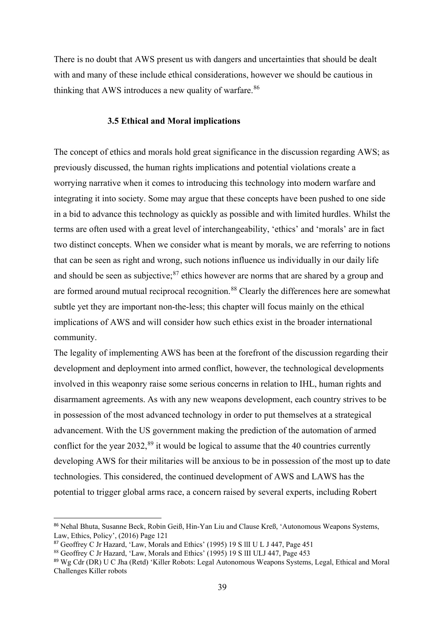There is no doubt that AWS present us with dangers and uncertainties that should be dealt with and many of these include ethical considerations, however we should be cautious in thinking that AWS introduces a new quality of warfare.<sup>[86](#page-38-0)</sup>

#### **3.5 Ethical and Moral implications**

The concept of ethics and morals hold great significance in the discussion regarding AWS; as previously discussed, the human rights implications and potential violations create a worrying narrative when it comes to introducing this technology into modern warfare and integrating it into society. Some may argue that these concepts have been pushed to one side in a bid to advance this technology as quickly as possible and with limited hurdles. Whilst the terms are often used with a great level of interchangeability, 'ethics' and 'morals' are in fact two distinct concepts. When we consider what is meant by morals, we are referring to notions that can be seen as right and wrong, such notions influence us individually in our daily life and should be seen as subjective;<sup>[87](#page-38-1)</sup> ethics however are norms that are shared by a group and are formed around mutual reciprocal recognition.<sup>[88](#page-38-2)</sup> Clearly the differences here are somewhat subtle yet they are important non-the-less; this chapter will focus mainly on the ethical implications of AWS and will consider how such ethics exist in the broader international community.

The legality of implementing AWS has been at the forefront of the discussion regarding their development and deployment into armed conflict, however, the technological developments involved in this weaponry raise some serious concerns in relation to IHL, human rights and disarmament agreements. As with any new weapons development, each country strives to be in possession of the most advanced technology in order to put themselves at a strategical advancement. With the US government making the prediction of the automation of armed conflict for the year 2032,<sup>[89](#page-38-3)</sup> it would be logical to assume that the 40 countries currently developing AWS for their militaries will be anxious to be in possession of the most up to date technologies. This considered, the continued development of AWS and LAWS has the potential to trigger global arms race, a concern raised by several experts, including Robert

<span id="page-38-0"></span><sup>86</sup> Nehal Bhuta, Susanne Beck, Robin Geiß, Hin-Yan Liu and Clause Kreß, 'Autonomous Weapons Systems, Law, Ethics, Policy', (2016) Page 121

<span id="page-38-1"></span><sup>87</sup> Geoffrey C Jr Hazard, 'Law, Morals and Ethics' (1995) 19 S llI U L J 447, Page 451

<span id="page-38-2"></span><sup>88</sup> Geoffrey C Jr Hazard, 'Law, Morals and Ethics' (1995) 19 S lII ULJ 447, Page 453

<span id="page-38-3"></span><sup>89</sup> Wg Cdr (DR) U C Jha (Retd) 'Killer Robots: Legal Autonomous Weapons Systems, Legal, Ethical and Moral Challenges Killer robots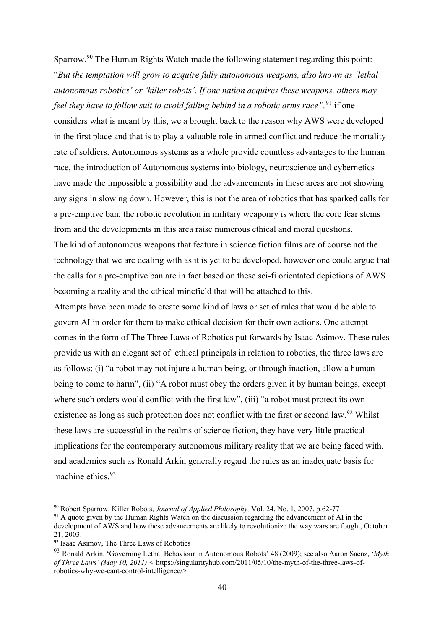Sparrow.<sup>[90](#page-39-0)</sup> The Human Rights Watch made the following statement regarding this point: "*But the temptation will grow to acquire fully autonomous weapons, also known as 'lethal autonomous robotics' or 'killer robots'. If one nation acquires these weapons, others may feel they have to follow suit to avoid falling behind in a robotic arms race*",<sup>[91](#page-39-1)</sup> if one considers what is meant by this, we a brought back to the reason why AWS were developed in the first place and that is to play a valuable role in armed conflict and reduce the mortality rate of soldiers. Autonomous systems as a whole provide countless advantages to the human race, the introduction of Autonomous systems into biology, neuroscience and cybernetics have made the impossible a possibility and the advancements in these areas are not showing any signs in slowing down. However, this is not the area of robotics that has sparked calls for a pre-emptive ban; the robotic revolution in military weaponry is where the core fear stems from and the developments in this area raise numerous ethical and moral questions. The kind of autonomous weapons that feature in science fiction films are of course not the technology that we are dealing with as it is yet to be developed, however one could argue that the calls for a pre-emptive ban are in fact based on these sci-fi orientated depictions of AWS becoming a reality and the ethical minefield that will be attached to this.

Attempts have been made to create some kind of laws or set of rules that would be able to govern AI in order for them to make ethical decision for their own actions. One attempt comes in the form of The Three Laws of Robotics put forwards by Isaac Asimov. These rules provide us with an elegant set of ethical principals in relation to robotics, the three laws are as follows: (i) "a robot may not injure a human being, or through inaction, allow a human being to come to harm", (ii) "A robot must obey the orders given it by human beings, except where such orders would conflict with the first law", (iii) "a robot must protect its own existence as long as such protection does not conflict with the first or second law.<sup>[92](#page-39-2)</sup> Whilst these laws are successful in the realms of science fiction, they have very little practical implications for the contemporary autonomous military reality that we are being faced with, and academics such as Ronald Arkin generally regard the rules as an inadequate basis for machine ethics. [93](#page-39-3)

<span id="page-39-1"></span><sup>91</sup> A quote given by the Human Rights Watch on the discussion regarding the advancement of AI in the development of AWS and how these advancements are likely to revolutionize the way wars are fought, October 21, 2003.

<span id="page-39-0"></span><sup>90</sup> Robert Sparrow, Killer Robots, *Journal of Applied Philosophy,* Vol. 24, No. 1, 2007, p.62-77

<span id="page-39-2"></span><sup>&</sup>lt;sup>92</sup> Isaac Asimov, The Three Laws of Robotics

<span id="page-39-3"></span><sup>93</sup> Ronald Arkin, 'Governing Lethal Behaviour in Autonomous Robots' 48 (2009); see also Aaron Saenz, '*Myth of Three Laws' (May 10, 2011) <* [https://singularityhub.com/2011/05/10/the-myth-of-the-three-laws-of](https://singularityhub.com/2011/05/10/the-myth-of-the-three-laws-of-robotics-why-we-cant-control-intelligence/)[robotics-why-we-cant-control-intelligence/>](https://singularityhub.com/2011/05/10/the-myth-of-the-three-laws-of-robotics-why-we-cant-control-intelligence/)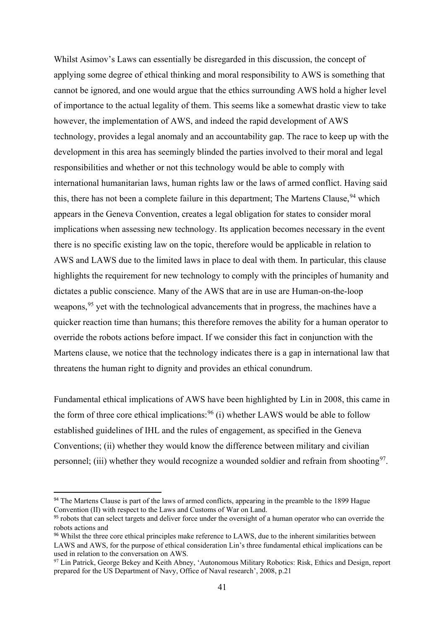Whilst Asimov's Laws can essentially be disregarded in this discussion, the concept of applying some degree of ethical thinking and moral responsibility to AWS is something that cannot be ignored, and one would argue that the ethics surrounding AWS hold a higher level of importance to the actual legality of them. This seems like a somewhat drastic view to take however, the implementation of AWS, and indeed the rapid development of AWS technology, provides a legal anomaly and an accountability gap. The race to keep up with the development in this area has seemingly blinded the parties involved to their moral and legal responsibilities and whether or not this technology would be able to comply with international humanitarian laws, human rights law or the laws of armed conflict. Having said this, there has not been a complete failure in this department; The Martens Clause, <sup>[94](#page-40-0)</sup> which appears in the Geneva Convention, creates a legal obligation for states to consider moral implications when assessing new technology. Its application becomes necessary in the event there is no specific existing law on the topic, therefore would be applicable in relation to AWS and LAWS due to the limited laws in place to deal with them. In particular, this clause highlights the requirement for new technology to comply with the principles of humanity and dictates a public conscience. Many of the AWS that are in use are Human-on-the-loop weapons,<sup>[95](#page-40-1)</sup> yet with the technological advancements that in progress, the machines have a quicker reaction time than humans; this therefore removes the ability for a human operator to override the robots actions before impact. If we consider this fact in conjunction with the Martens clause, we notice that the technology indicates there is a gap in international law that threatens the human right to dignity and provides an ethical conundrum.

Fundamental ethical implications of AWS have been highlighted by Lin in 2008, this came in the form of three core ethical implications:  $96$  (i) whether LAWS would be able to follow established guidelines of IHL and the rules of engagement, as specified in the Geneva Conventions; (ii) whether they would know the difference between military and civilian personnel; (iii) whether they would recognize a wounded soldier and refrain from shooting<sup>[97](#page-40-3)</sup>.

<span id="page-40-0"></span><sup>&</sup>lt;sup>94</sup> The Martens Clause is part of the laws of armed conflicts, appearing in the preamble to the 1899 Hague Convention (II) with respect to the Laws and Customs of War on Land.

<span id="page-40-1"></span><sup>&</sup>lt;sup>95</sup> robots that can select targets and deliver force under the oversight of a human operator who can override the robots actions and

<span id="page-40-2"></span><sup>&</sup>lt;sup>96</sup> Whilst the three core ethical principles make reference to LAWS, due to the inherent similarities between LAWS and AWS, for the purpose of ethical consideration Lin's three fundamental ethical implications can be used in relation to the conversation on AWS.

<span id="page-40-3"></span><sup>&</sup>lt;sup>97</sup> Lin Patrick, George Bekey and Keith Abney, 'Autonomous Military Robotics: Risk, Ethics and Design, report prepared for the US Department of Navy, Office of Naval research', 2008, p.21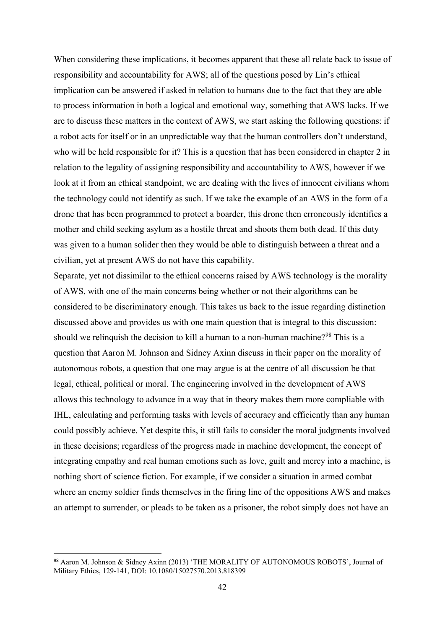When considering these implications, it becomes apparent that these all relate back to issue of responsibility and accountability for AWS; all of the questions posed by Lin's ethical implication can be answered if asked in relation to humans due to the fact that they are able to process information in both a logical and emotional way, something that AWS lacks. If we are to discuss these matters in the context of AWS, we start asking the following questions: if a robot acts for itself or in an unpredictable way that the human controllers don't understand, who will be held responsible for it? This is a question that has been considered in chapter 2 in relation to the legality of assigning responsibility and accountability to AWS, however if we look at it from an ethical standpoint, we are dealing with the lives of innocent civilians whom the technology could not identify as such. If we take the example of an AWS in the form of a drone that has been programmed to protect a boarder, this drone then erroneously identifies a mother and child seeking asylum as a hostile threat and shoots them both dead. If this duty was given to a human solider then they would be able to distinguish between a threat and a civilian, yet at present AWS do not have this capability.

Separate, yet not dissimilar to the ethical concerns raised by AWS technology is the morality of AWS, with one of the main concerns being whether or not their algorithms can be considered to be discriminatory enough. This takes us back to the issue regarding distinction discussed above and provides us with one main question that is integral to this discussion: should we relinquish the decision to kill a human to a non-human machine?<sup>[98](#page-41-0)</sup> This is a question that Aaron M. Johnson and Sidney Axinn discuss in their paper on the morality of autonomous robots, a question that one may argue is at the centre of all discussion be that legal, ethical, political or moral. The engineering involved in the development of AWS allows this technology to advance in a way that in theory makes them more compliable with IHL, calculating and performing tasks with levels of accuracy and efficiently than any human could possibly achieve. Yet despite this, it still fails to consider the moral judgments involved in these decisions; regardless of the progress made in machine development, the concept of integrating empathy and real human emotions such as love, guilt and mercy into a machine, is nothing short of science fiction. For example, if we consider a situation in armed combat where an enemy soldier finds themselves in the firing line of the oppositions AWS and makes an attempt to surrender, or pleads to be taken as a prisoner, the robot simply does not have an

<span id="page-41-0"></span><sup>98</sup> Aaron M. Johnson & Sidney Axinn (2013) 'THE MORALITY OF AUTONOMOUS ROBOTS', Journal of Military Ethics, 129-141, DOI: 10.1080/15027570.2013.818399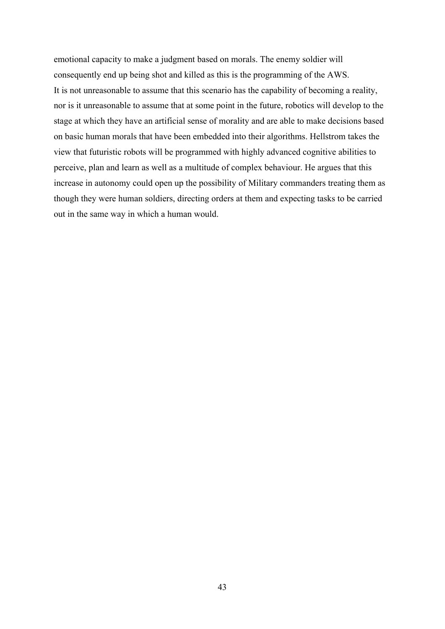emotional capacity to make a judgment based on morals. The enemy soldier will consequently end up being shot and killed as this is the programming of the AWS. It is not unreasonable to assume that this scenario has the capability of becoming a reality, nor is it unreasonable to assume that at some point in the future, robotics will develop to the stage at which they have an artificial sense of morality and are able to make decisions based on basic human morals that have been embedded into their algorithms. Hellstrom takes the view that futuristic robots will be programmed with highly advanced cognitive abilities to perceive, plan and learn as well as a multitude of complex behaviour. He argues that this increase in autonomy could open up the possibility of Military commanders treating them as though they were human soldiers, directing orders at them and expecting tasks to be carried out in the same way in which a human would.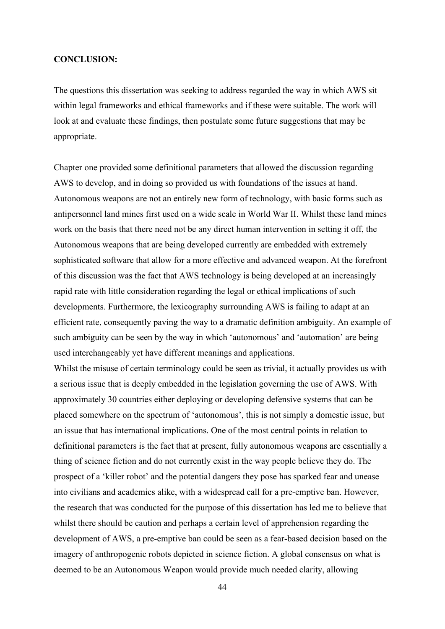#### **CONCLUSION:**

The questions this dissertation was seeking to address regarded the way in which AWS sit within legal frameworks and ethical frameworks and if these were suitable. The work will look at and evaluate these findings, then postulate some future suggestions that may be appropriate.

Chapter one provided some definitional parameters that allowed the discussion regarding AWS to develop, and in doing so provided us with foundations of the issues at hand. Autonomous weapons are not an entirely new form of technology, with basic forms such as antipersonnel land mines first used on a wide scale in World War II. Whilst these land mines work on the basis that there need not be any direct human intervention in setting it off, the Autonomous weapons that are being developed currently are embedded with extremely sophisticated software that allow for a more effective and advanced weapon. At the forefront of this discussion was the fact that AWS technology is being developed at an increasingly rapid rate with little consideration regarding the legal or ethical implications of such developments. Furthermore, the lexicography surrounding AWS is failing to adapt at an efficient rate, consequently paving the way to a dramatic definition ambiguity. An example of such ambiguity can be seen by the way in which 'autonomous' and 'automation' are being used interchangeably yet have different meanings and applications.

Whilst the misuse of certain terminology could be seen as trivial, it actually provides us with a serious issue that is deeply embedded in the legislation governing the use of AWS. With approximately 30 countries either deploying or developing defensive systems that can be placed somewhere on the spectrum of 'autonomous', this is not simply a domestic issue, but an issue that has international implications. One of the most central points in relation to definitional parameters is the fact that at present, fully autonomous weapons are essentially a thing of science fiction and do not currently exist in the way people believe they do. The prospect of a 'killer robot' and the potential dangers they pose has sparked fear and unease into civilians and academics alike, with a widespread call for a pre-emptive ban. However, the research that was conducted for the purpose of this dissertation has led me to believe that whilst there should be caution and perhaps a certain level of apprehension regarding the development of AWS, a pre-emptive ban could be seen as a fear-based decision based on the imagery of anthropogenic robots depicted in science fiction. A global consensus on what is deemed to be an Autonomous Weapon would provide much needed clarity, allowing

44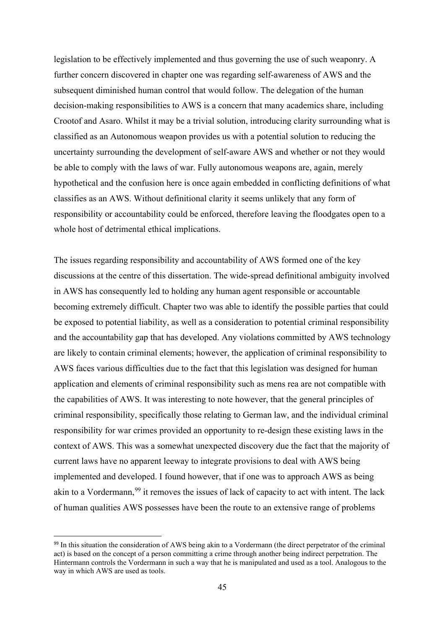legislation to be effectively implemented and thus governing the use of such weaponry. A further concern discovered in chapter one was regarding self-awareness of AWS and the subsequent diminished human control that would follow. The delegation of the human decision-making responsibilities to AWS is a concern that many academics share, including Crootof and Asaro. Whilst it may be a trivial solution, introducing clarity surrounding what is classified as an Autonomous weapon provides us with a potential solution to reducing the uncertainty surrounding the development of self-aware AWS and whether or not they would be able to comply with the laws of war. Fully autonomous weapons are, again, merely hypothetical and the confusion here is once again embedded in conflicting definitions of what classifies as an AWS. Without definitional clarity it seems unlikely that any form of responsibility or accountability could be enforced, therefore leaving the floodgates open to a whole host of detrimental ethical implications.

The issues regarding responsibility and accountability of AWS formed one of the key discussions at the centre of this dissertation. The wide-spread definitional ambiguity involved in AWS has consequently led to holding any human agent responsible or accountable becoming extremely difficult. Chapter two was able to identify the possible parties that could be exposed to potential liability, as well as a consideration to potential criminal responsibility and the accountability gap that has developed. Any violations committed by AWS technology are likely to contain criminal elements; however, the application of criminal responsibility to AWS faces various difficulties due to the fact that this legislation was designed for human application and elements of criminal responsibility such as mens rea are not compatible with the capabilities of AWS. It was interesting to note however, that the general principles of criminal responsibility, specifically those relating to German law, and the individual criminal responsibility for war crimes provided an opportunity to re-design these existing laws in the context of AWS. This was a somewhat unexpected discovery due the fact that the majority of current laws have no apparent leeway to integrate provisions to deal with AWS being implemented and developed. I found however, that if one was to approach AWS as being akin to a Vordermann,<sup>[99](#page-44-0)</sup> it removes the issues of lack of capacity to act with intent. The lack of human qualities AWS possesses have been the route to an extensive range of problems

<span id="page-44-0"></span><sup>&</sup>lt;sup>99</sup> In this situation the consideration of AWS being akin to a Vordermann (the direct perpetrator of the criminal act) is based on the concept of a person committing a crime through another being indirect perpetration. The Hintermann controls the Vordermann in such a way that he is manipulated and used as a tool. Analogous to the way in which AWS are used as tools.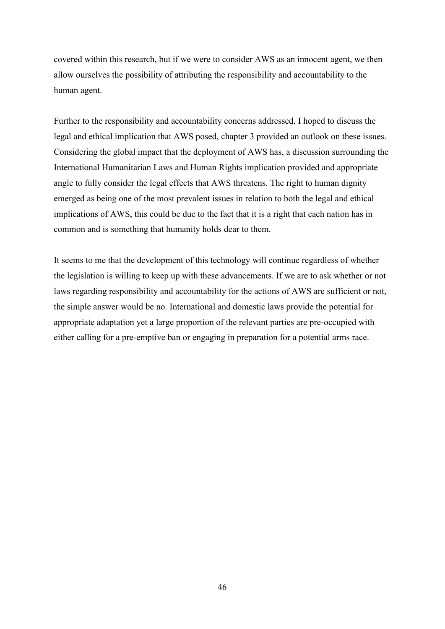covered within this research, but if we were to consider AWS as an innocent agent, we then allow ourselves the possibility of attributing the responsibility and accountability to the human agent.

Further to the responsibility and accountability concerns addressed, I hoped to discuss the legal and ethical implication that AWS posed, chapter 3 provided an outlook on these issues. Considering the global impact that the deployment of AWS has, a discussion surrounding the International Humanitarian Laws and Human Rights implication provided and appropriate angle to fully consider the legal effects that AWS threatens. The right to human dignity emerged as being one of the most prevalent issues in relation to both the legal and ethical implications of AWS, this could be due to the fact that it is a right that each nation has in common and is something that humanity holds dear to them.

It seems to me that the development of this technology will continue regardless of whether the legislation is willing to keep up with these advancements. If we are to ask whether or not laws regarding responsibility and accountability for the actions of AWS are sufficient or not, the simple answer would be no. International and domestic laws provide the potential for appropriate adaptation yet a large proportion of the relevant parties are pre-occupied with either calling for a pre-emptive ban or engaging in preparation for a potential arms race.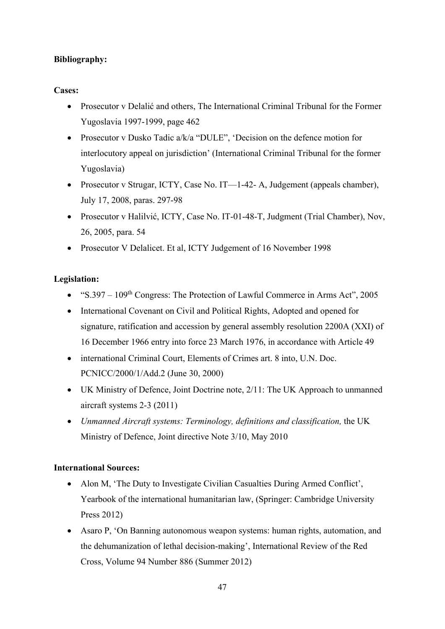# **Bibliography:**

# **Cases:**

- Prosecutor v Delalić and others, The International Criminal Tribunal for the Former Yugoslavia 1997-1999, page 462
- Prosecutor v Dusko Tadic a/k/a "DULE", 'Decision on the defence motion for interlocutory appeal on jurisdiction' (International Criminal Tribunal for the former Yugoslavia)
- Prosecutor v Strugar, ICTY, Case No. IT—1-42- A, Judgement (appeals chamber), July 17, 2008, paras. 297-98
- Prosecutor v Halilvić, ICTY, Case No. IT-01-48-T, Judgment (Trial Chamber), Nov, 26, 2005, para. 54
- Prosecutor V Delalicet. Et al, ICTY Judgement of 16 November 1998

# **Legislation:**

- "S.397  $109<sup>th</sup> Congress: The Protection of Lawful Commerce in Arms Act", 2005$
- International Covenant on Civil and Political Rights, Adopted and opened for signature, ratification and accession by general assembly resolution 2200A (XXI) of 16 December 1966 entry into force 23 March 1976, in accordance with Article 49
- international Criminal Court, Elements of Crimes art. 8 into, U.N. Doc. PCNICC/2000/1/Add.2 (June 30, 2000)
- UK Ministry of Defence, Joint Doctrine note, 2/11: The UK Approach to unmanned aircraft systems 2-3 (2011)
- *Unmanned Aircraft systems: Terminology, definitions and classification,* the UK Ministry of Defence, Joint directive Note 3/10, May 2010

# **International Sources:**

- Alon M, 'The Duty to Investigate Civilian Casualties During Armed Conflict', Yearbook of the international humanitarian law, (Springer: Cambridge University Press 2012)
- Asaro P, 'On Banning autonomous weapon systems: human rights, automation, and the dehumanization of lethal decision-making', International Review of the Red Cross, Volume 94 Number 886 (Summer 2012)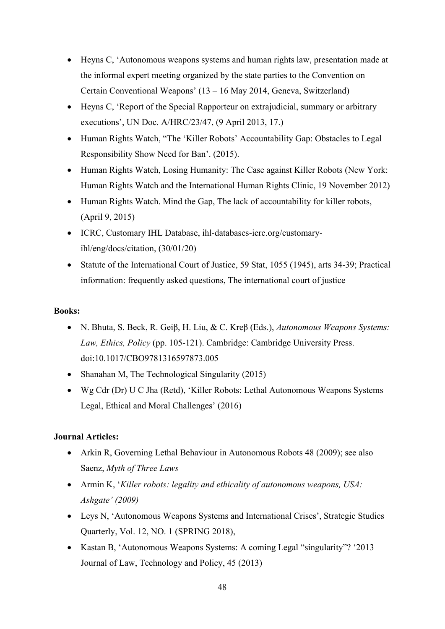- Heyns C, 'Autonomous weapons systems and human rights law, presentation made at the informal expert meeting organized by the state parties to the Convention on Certain Conventional Weapons' (13 – 16 May 2014, Geneva, Switzerland)
- Heyns C, 'Report of the Special Rapporteur on extrajudicial, summary or arbitrary executions', UN Doc. A/HRC/23/47, (9 April 2013, 17.)
- Human Rights Watch, "The 'Killer Robots' Accountability Gap: Obstacles to Legal Responsibility Show Need for Ban'. (2015).
- Human Rights Watch, Losing Humanity: The Case against Killer Robots (New York: Human Rights Watch and the International Human Rights Clinic, 19 November 2012)
- Human Rights Watch. Mind the Gap, The lack of accountability for killer robots, (April 9, 2015)
- ICRC, Customary IHL Database, ihl-databases-icrc.org/customaryihl/eng/docs/citation, (30/01/20)
- Statute of the International Court of Justice, 59 Stat, 1055 (1945), arts 34-39; Practical information: frequently asked questions, The international court of justice

### **Books:**

- N. Bhuta, S. Beck, R. Geiβ, H. Liu, & C. Kreβ (Eds.), *Autonomous Weapons Systems: Law, Ethics, Policy* (pp. 105-121). Cambridge: Cambridge University Press. doi:10.1017/CBO9781316597873.005
- Shanahan M, The Technological Singularity (2015)
- Wg Cdr (Dr) U C Jha (Retd), 'Killer Robots: Lethal Autonomous Weapons Systems Legal, Ethical and Moral Challenges' (2016)

# **Journal Articles:**

- Arkin R, Governing Lethal Behaviour in Autonomous Robots 48 (2009); see also Saenz, *Myth of Three Laws*
- Armin K, '*Killer robots: legality and ethicality of autonomous weapons, USA: Ashgate' (2009)*
- Leys N, 'Autonomous Weapons Systems and International Crises', Strategic Studies Quarterly, Vol. 12, NO. 1 (SPRING 2018),
- Kastan B, 'Autonomous Weapons Systems: A coming Legal "singularity"? '2013 Journal of Law, Technology and Policy, 45 (2013)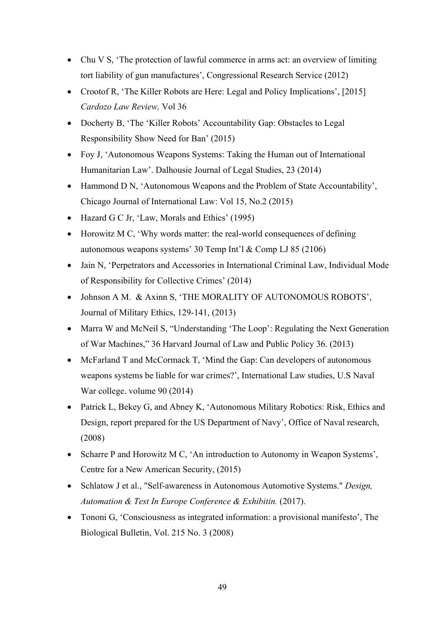- Chu V S, 'The protection of lawful commerce in arms act: an overview of limiting tort liability of gun manufactures', Congressional Research Service (2012)
- Crootof R, 'The Killer Robots are Here: Legal and Policy Implications', [2015] *Cardozo Law Review,* Vol 36
- Docherty B, 'The 'Killer Robots' Accountability Gap: Obstacles to Legal Responsibility Show Need for Ban' (2015)
- Foy J, 'Autonomous Weapons Systems: Taking the Human out of International Humanitarian Law'. Dalhousie Journal of Legal Studies, 23 (2014)
- Hammond D N, 'Autonomous Weapons and the Problem of State Accountability', Chicago Journal of International Law: Vol 15, No.2 (2015)
- Hazard G C Jr, 'Law, Morals and Ethics' (1995)
- Horowitz M C, 'Why words matter: the real-world consequences of defining autonomous weapons systems' 30 Temp Int'l & Comp LJ 85 (2106)
- Jain N, 'Perpetrators and Accessories in International Criminal Law, Individual Mode of Responsibility for Collective Crimes' (2014)
- Johnson A M. & Axinn S, 'THE MORALITY OF AUTONOMOUS ROBOTS', Journal of Military Ethics, 129-141, (2013)
- Marra W and McNeil S, "Understanding 'The Loop': Regulating the Next Generation of War Machines," 36 Harvard Journal of Law and Public Policy 36. (2013)
- McFarland T and McCormack T, 'Mind the Gap: Can developers of autonomous weapons systems be liable for war crimes?', International Law studies, U.S Naval War college. volume 90 (2014)
- Patrick L, Bekey G, and Abney K, 'Autonomous Military Robotics: Risk, Ethics and Design, report prepared for the US Department of Navy', Office of Naval research, (2008)
- Scharre P and Horowitz M C, 'An introduction to Autonomy in Weapon Systems', Centre for a New American Security, (2015)
- Schlatow J et al., "Self-awareness in Autonomous Automotive Systems." *Design, Automation & Test In Europe Conference & Exhibitin.* (2017).
- Tononi G, 'Consciousness as integrated information: a provisional manifesto', The Biological Bulletin, Vol. 215 No. 3 (2008)